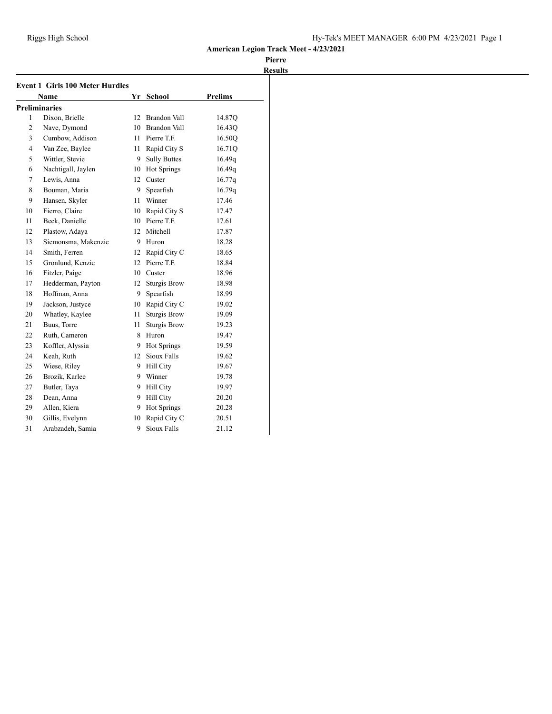| <b>Event 1 Girls 100 Meter Hurdles</b> |                      |                  |                     |                |  |
|----------------------------------------|----------------------|------------------|---------------------|----------------|--|
|                                        | <b>Name</b>          | Yr               | <b>School</b>       | <b>Prelims</b> |  |
|                                        | <b>Preliminaries</b> |                  |                     |                |  |
| 1                                      | Dixon, Brielle       | 12               | Brandon Vall        | 14.87Q         |  |
| $\overline{c}$                         | Nave, Dymond         | 10               | <b>Brandon Vall</b> | 16.43Q         |  |
| 3                                      | Cumbow, Addison      | 11               | Pierre T.F.         | 16.50Q         |  |
| 4                                      | Van Zee, Baylee      | 11               | Rapid City S        | 16.71Q         |  |
| 5                                      | Wittler, Stevie      | 9                | <b>Sully Buttes</b> | 16.49q         |  |
| 6                                      | Nachtigall, Jaylen   | 10               | Hot Springs         | 16.49q         |  |
| 7                                      | Lewis, Anna          | 12               | Custer              | 16.77q         |  |
| 8                                      | Bouman, Maria        | 9.               | Spearfish           | 16.79q         |  |
| 9                                      | Hansen, Skyler       | 11               | Winner              | 17.46          |  |
| 10                                     | Fierro, Claire       |                  | 10 Rapid City S     | 17.47          |  |
| 11                                     | Beck, Danielle       |                  | 10 Pierre T.F.      | 17.61          |  |
| 12                                     | Plastow, Adaya       | 12 <sup>12</sup> | Mitchell            | 17.87          |  |
| 13                                     | Siemonsma, Makenzie  | 9                | Huron               | 18.28          |  |
| 14                                     | Smith, Ferren        | 12               | Rapid City C        | 18.65          |  |
| 15                                     | Gronlund, Kenzie     | 12 <sup>2</sup>  | Pierre T.F.         | 18.84          |  |
| 16                                     | Fitzler, Paige       | 10               | Custer              | 18.96          |  |
| 17                                     | Hedderman, Payton    | 12               | <b>Sturgis Brow</b> | 18.98          |  |
| 18                                     | Hoffman, Anna        | 9.               | Spearfish           | 18.99          |  |
| 19                                     | Jackson, Justyce     | 10               | Rapid City C        | 19.02          |  |
| 20                                     | Whatley, Kaylee      | 11               | <b>Sturgis Brow</b> | 19.09          |  |
| 21                                     | Buus, Torre          | 11               | <b>Sturgis Brow</b> | 19.23          |  |
| 22                                     | Ruth, Cameron        | 8                | Huron               | 19.47          |  |
| 23                                     | Koffler, Alyssia     | 9.               | Hot Springs         | 19.59          |  |
| 24                                     | Keah, Ruth           | 12               | Sioux Falls         | 19.62          |  |
| 25                                     | Wiese, Riley         | 9.               | <b>Hill City</b>    | 19.67          |  |
| 26                                     | Brozik, Karlee       | 9.               | Winner              | 19.78          |  |
| 27                                     | Butler, Taya         | 9.               | <b>Hill City</b>    | 19.97          |  |
| 28                                     | Dean, Anna           | 9                | <b>Hill City</b>    | 20.20          |  |
| 29                                     | Allen, Kiera         | 9.               | Hot Springs         | 20.28          |  |
| 30                                     | Gillis, Evelynn      | 10               | Rapid City C        | 20.51          |  |
| 31                                     | Arabzadeh, Samia     | 9                | Sioux Falls         | 21.12          |  |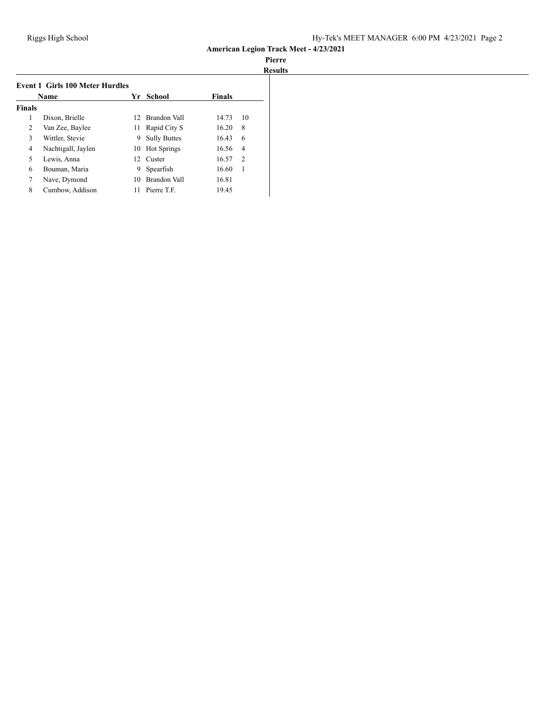| Name          |                    |    | Yr School           | <b>Finals</b> |                |
|---------------|--------------------|----|---------------------|---------------|----------------|
| <b>Finals</b> |                    |    |                     |               |                |
| 1             | Dixon, Brielle     | 12 | Brandon Vall        | 14.73         | 10             |
| 2             | Van Zee, Baylee    | 11 | Rapid City S        | 16.20         | 8              |
| 3             | Wittler, Stevie    | 9  | <b>Sully Buttes</b> | 16.43         | 6              |
| 4             | Nachtigall, Jaylen | 10 | <b>Hot Springs</b>  | 16.56         | 4              |
| 5             | Lewis, Anna        | 12 | Custer              | 16.57         | $\overline{2}$ |
| 6             | Bouman, Maria      | 9  | Spearfish           | 16.60         | 1              |
| 7             | Nave, Dymond       | 10 | Brandon Vall        | 16.81         |                |
| 8             | Cumbow, Addison    | 11 | Pierre T.F.         | 19.45         |                |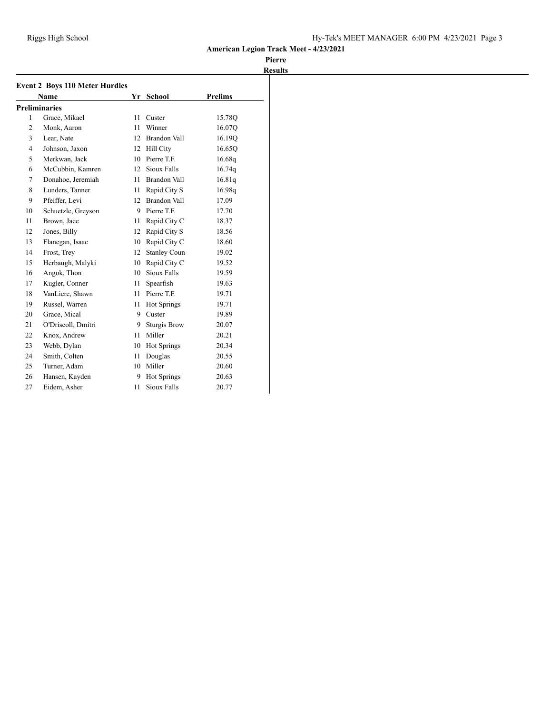| <b>Event 2 Boys 110 Meter Hurdles</b> |                      |    |                     |                |  |  |
|---------------------------------------|----------------------|----|---------------------|----------------|--|--|
|                                       | <b>Name</b>          | Yr | <b>School</b>       | <b>Prelims</b> |  |  |
|                                       | <b>Preliminaries</b> |    |                     |                |  |  |
| 1                                     | Grace, Mikael        | 11 | Custer              | 15.78Q         |  |  |
| $\overline{2}$                        | Monk, Aaron          | 11 | Winner              | 16.07Q         |  |  |
| 3                                     | Lear, Nate           | 12 | <b>Brandon Vall</b> | 16.19Q         |  |  |
| $\overline{4}$                        | Johnson, Jaxon       |    | 12 Hill City        | 16.65Q         |  |  |
| 5                                     | Merkwan, Jack        | 10 | Pierre T.F.         | 16.68q         |  |  |
| 6                                     | McCubbin, Kamren     | 12 | Sioux Falls         | 16.74q         |  |  |
| 7                                     | Donahoe, Jeremiah    | 11 | <b>Brandon Vall</b> | 16.81q         |  |  |
| 8                                     | Lunders, Tanner      | 11 | Rapid City S        | 16.98q         |  |  |
| 9                                     | Pfeiffer, Levi       |    | 12 Brandon Vall     | 17.09          |  |  |
| 10                                    | Schuetzle, Greyson   | 9  | Pierre T.F.         | 17.70          |  |  |
| 11                                    | Brown, Jace          | 11 | Rapid City C        | 18.37          |  |  |
| 12                                    | Jones, Billy         | 12 | Rapid City S        | 18.56          |  |  |
| 13                                    | Flanegan, Isaac      | 10 | Rapid City C        | 18.60          |  |  |
| 14                                    | Frost, Trey          | 12 | <b>Stanley Coun</b> | 19.02          |  |  |
| 15                                    | Herbaugh, Malyki     | 10 | Rapid City C        | 19.52          |  |  |
| 16                                    | Angok, Thon          | 10 | Sioux Falls         | 19.59          |  |  |
| 17                                    | Kugler, Conner       | 11 | Spearfish           | 19.63          |  |  |
| 18                                    | VanLiere, Shawn      | 11 | Pierre T.F.         | 19.71          |  |  |
| 19                                    | Russel, Warren       | 11 | Hot Springs         | 19.71          |  |  |
| 20                                    | Grace, Mical         | 9  | Custer              | 19.89          |  |  |
| 21                                    | O'Driscoll, Dmitri   | 9  | <b>Sturgis Brow</b> | 20.07          |  |  |
| 22                                    | Knox, Andrew         | 11 | Miller              | 20.21          |  |  |
| 23                                    | Webb, Dylan          | 10 | Hot Springs         | 20.34          |  |  |
| 24                                    | Smith, Colten        | 11 | Douglas             | 20.55          |  |  |
| 25                                    | Turner, Adam         | 10 | Miller              | 20.60          |  |  |
| 26                                    | Hansen, Kayden       | 9  | Hot Springs         | 20.63          |  |  |
| 27                                    | Eidem. Asher         | 11 | Sioux Falls         | 20.77          |  |  |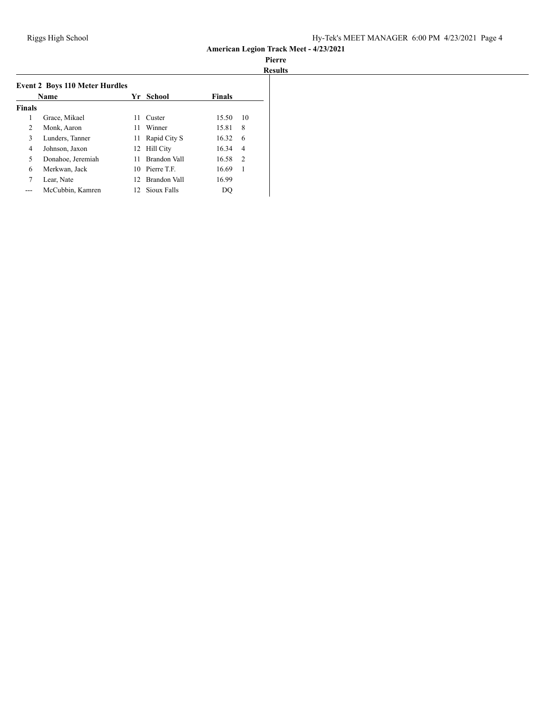# **Pierre**

|               |                                       |    |                     |               |                | <b>Results</b> |
|---------------|---------------------------------------|----|---------------------|---------------|----------------|----------------|
|               | <b>Event 2 Boys 110 Meter Hurdles</b> |    |                     |               |                |                |
|               | <b>Name</b>                           |    | Yr School           | <b>Finals</b> |                |                |
| <b>Finals</b> |                                       |    |                     |               |                |                |
|               | Grace, Mikael                         | 11 | Custer              | 15.50         | 10             |                |
| 2             | Monk, Aaron                           | 11 | Winner              | 15.81         | 8              |                |
| 3             | Lunders, Tanner                       | 11 | Rapid City S        | 16.32         | -6             |                |
| 4             | Johnson, Jaxon                        | 12 | Hill City           | 16.34         | $\overline{4}$ |                |
| 5             | Donahoe, Jeremiah                     | 11 | Brandon Vall        | 16.58         | $\overline{2}$ |                |
| 6             | Merkwan, Jack                         |    | 10 Pierre T.F.      | 16.69         | 1              |                |
| 7             | Lear, Nate                            | 12 | <b>Brandon Vall</b> | 16.99         |                |                |
|               | McCubbin, Kamren                      |    | 12 Sioux Falls      | DO            |                |                |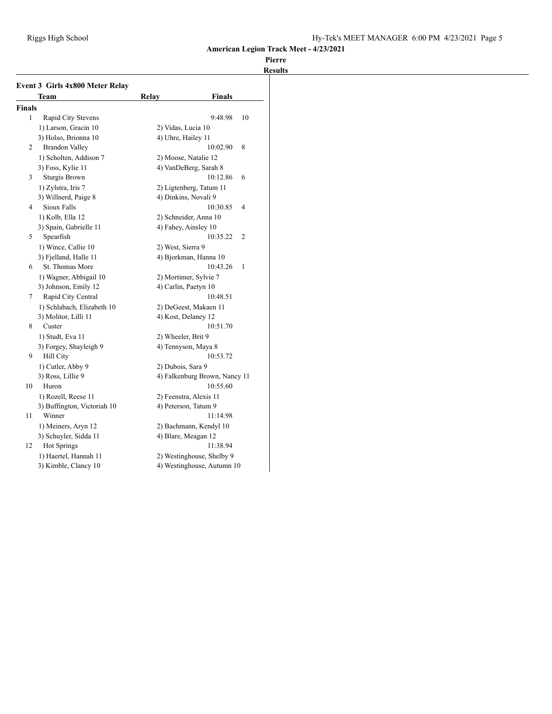|               | <b>Event 3 Girls 4x800 Meter Relay</b> |                    |                               |    |
|---------------|----------------------------------------|--------------------|-------------------------------|----|
|               | Team                                   | Relay              | <b>Finals</b>                 |    |
| <b>Finals</b> |                                        |                    |                               |    |
| 1             | Rapid City Stevens                     |                    | 9:48.98                       | 10 |
|               | 1) Larson, Gracin 10                   | 2) Vidas, Lucia 10 |                               |    |
|               | 3) Holso, Brionna 10                   | 4) Uhre, Hailey 11 |                               |    |
| 2             | <b>Brandon Valley</b>                  |                    | 10:02.90<br>8                 |    |
|               | 1) Scholten, Addison 7                 |                    | 2) Moose, Natalie 12          |    |
|               | 3) Foss, Kylie 11                      |                    | 4) VanDeBerg, Sarah 8         |    |
| 3             | <b>Sturgis Brown</b>                   |                    | 10:12.86<br>6                 |    |
|               | 1) Zylstra, Iris 7                     |                    | 2) Ligtenberg, Tatum 11       |    |
|               | 3) Willnerd, Paige 8                   |                    | 4) Dinkins, Novali 9          |    |
| 4             | Sioux Falls                            |                    | 10:30.85<br>4                 |    |
|               | 1) Kolb, Ella 12                       |                    | 2) Schneider, Anna 10         |    |
|               | 3) Spain, Gabrielle 11                 |                    | 4) Fahey, Ainsley 10          |    |
| 5             | Spearfish                              |                    | $\overline{2}$<br>10:35.22    |    |
|               | 1) Wince, Callie 10                    | 2) West, Sierra 9  |                               |    |
|               | 3) Fjelland, Halle 11                  |                    | 4) Bjorkman, Hanna 10         |    |
| 6             | St. Thomas More                        |                    | 10:43.26<br>$\mathbf{1}$      |    |
|               | 1) Wagner, Abbigail 10                 |                    | 2) Mortimer, Sylvie 7         |    |
|               | 3) Johnson, Emily 12                   |                    | 4) Carlin, Paetyn 10          |    |
| 7             | Rapid City Central                     |                    | 10:48.51                      |    |
|               | 1) Schlabach, Elizabeth 10             |                    | 2) DeGeest, Makaen 11         |    |
|               | 3) Molitor, Lilli 11                   |                    | 4) Kost, Delaney 12           |    |
| 8             | Custer                                 |                    | 10:51.70                      |    |
|               | 1) Studt, Eva 11                       | 2) Wheeler, Brit 9 |                               |    |
|               | 3) Forgey, Shayleigh 9                 |                    | 4) Tennyson, Maya 8           |    |
| 9             | <b>Hill City</b>                       |                    | 10:53.72                      |    |
|               | 1) Cutler, Abby 9                      | 2) Dubois, Sara 9  |                               |    |
|               | 3) Ross, Lillie 9                      |                    | 4) Falkenburg Brown, Nancy 11 |    |
| 10            | Huron                                  |                    | 10:55.60                      |    |
|               | 1) Rozell, Reese 11                    |                    | 2) Feenstra, Alexis 11        |    |
|               | 3) Buffington, Victoriah 10            |                    | 4) Peterson, Tatum 9          |    |
| 11            | Winner                                 |                    | 11:14.98                      |    |
|               | 1) Meiners, Aryn 12                    |                    | 2) Bachmann, Kendyl 10        |    |
|               | 3) Schuyler, Sidda 11                  |                    | 4) Blare, Meagan 12           |    |
| 12            | Hot Springs                            |                    | 11:38.94                      |    |
|               | 1) Haertel, Hannah 11                  |                    | 2) Westinghouse, Shelby 9     |    |
|               | 3) Kimble, Clancy 10                   |                    | 4) Westinghouse, Autumn 10    |    |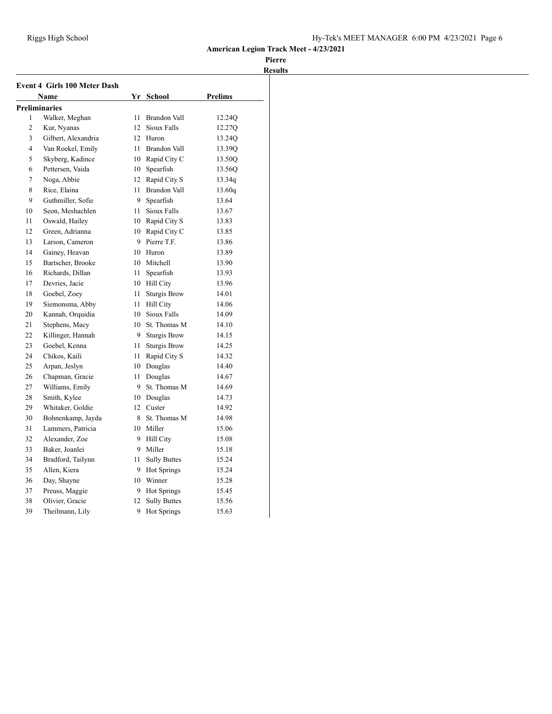| <b>Event 4 Girls 100 Meter Dash</b> |                      |    |                     |                |  |
|-------------------------------------|----------------------|----|---------------------|----------------|--|
|                                     | Name                 |    | Yr School           | <b>Prelims</b> |  |
|                                     | <b>Preliminaries</b> |    |                     |                |  |
| 1                                   | Walker, Meghan       | 11 | <b>Brandon Vall</b> | 12.24Q         |  |
| $\overline{c}$                      | Kur, Nyanas          | 12 | Sioux Falls         | 12.27Q         |  |
| 3                                   | Gilbert, Alexandria  | 12 | Huron               | 13.24Q         |  |
| 4                                   | Van Roekel, Emily    | 11 | <b>Brandon Vall</b> | 13.39Q         |  |
| 5                                   | Skyberg, Kadince     |    | 10 Rapid City C     | 13.50Q         |  |
| 6                                   | Pettersen, Vaida     |    | 10 Spearfish        | 13.56Q         |  |
| 7                                   | Noga, Abbie          | 12 | Rapid City S        | 13.34q         |  |
| 8                                   | Rice, Elaina         | 11 | Brandon Vall        | 13.60q         |  |
| 9                                   | Guthmiller, Sofie    |    | 9 Spearfish         | 13.64          |  |
| 10                                  | Seon, Meshachlen     | 11 | Sioux Falls         | 13.67          |  |
| 11                                  | Oswald, Hailey       |    | 10 Rapid City S     | 13.83          |  |
| 12                                  | Green, Adrianna      | 10 | Rapid City C        | 13.85          |  |
| 13                                  | Larson, Cameron      |    | 9 Pierre T.F.       | 13.86          |  |
| 14                                  | Gainey, Heavan       | 10 | Huron               | 13.89          |  |
| 15                                  | Bartscher, Brooke    |    | 10 Mitchell         | 13.90          |  |
| 16                                  | Richards, Dillan     | 11 | Spearfish           | 13.93          |  |
| 17                                  | Devries, Jacie       |    | 10 Hill City        | 13.96          |  |
| 18                                  | Goebel, Zoey         | 11 | <b>Sturgis Brow</b> | 14.01          |  |
| 19                                  | Siemonsma, Abby      | 11 | <b>Hill City</b>    | 14.06          |  |
| 20                                  | Kannah, Orquidia     | 10 | Sioux Falls         | 14.09          |  |
| 21                                  | Stephens, Macy       |    | 10 St. Thomas M     | 14.10          |  |
| 22                                  | Killinger, Hannah    | 9  | <b>Sturgis Brow</b> | 14.15          |  |
| 23                                  | Goebel, Kenna        | 11 | <b>Sturgis Brow</b> | 14.25          |  |
| 24                                  | Chikos, Kaili        | 11 | Rapid City S        | 14.32          |  |
| 25                                  | Arpan, Jeslyn        |    | 10 Douglas          | 14.40          |  |
| 26                                  | Chapman, Gracie      | 11 | Douglas             | 14.67          |  |
| 27                                  | Williams, Emily      | 9  | St. Thomas M        | 14.69          |  |
| 28                                  | Smith, Kylee         |    | 10 Douglas          | 14.73          |  |
| 29                                  | Whitaker, Goldie     |    | 12 Custer           | 14.92          |  |
| 30                                  | Bohnenkamp, Jayda    | 8  | St. Thomas M        | 14.98          |  |
| 31                                  | Lammers, Patricia    |    | 10 Miller           | 15.06          |  |
| 32                                  | Alexander, Zoe       |    | 9 Hill City         | 15.08          |  |
| 33                                  | Baker, Joanlei       | 9  | Miller              | 15.18          |  |
| 34                                  | Bradford, Tailynn    | 11 | <b>Sully Buttes</b> | 15.24          |  |
| 35                                  | Allen, Kiera         | 9  | Hot Springs         | 15.24          |  |
| 36                                  | Day, Shayne          |    | 10 Winner           | 15.28          |  |
| 37                                  | Preuss, Maggie       | 9  | Hot Springs         | 15.45          |  |
| 38                                  | Olivier, Gracie      | 12 | <b>Sully Buttes</b> | 15.56          |  |
| 39                                  | Theilmann, Lily      | 9  | <b>Hot Springs</b>  | 15.63          |  |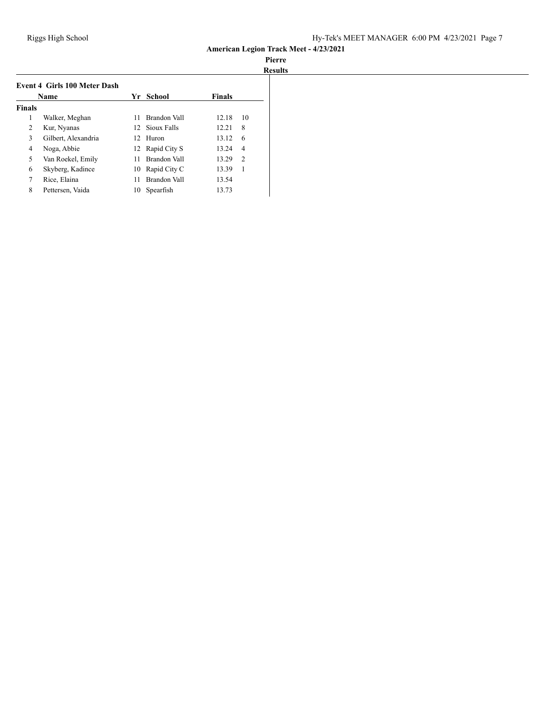| <b>Event 4 Girls 100 Meter Dash</b><br><b>Name</b> |                     |    | Yr School       | <b>Finals</b> |                |
|----------------------------------------------------|---------------------|----|-----------------|---------------|----------------|
| <b>Finals</b>                                      |                     |    |                 |               |                |
| 1                                                  | Walker, Meghan      | 11 | Brandon Vall    | 12.18         | 10             |
| 2                                                  | Kur, Nyanas         |    | 12 Sioux Falls  | 12.21         | 8              |
| 3                                                  | Gilbert, Alexandria |    | 12 Huron        | 13.12         | 6              |
| 4                                                  | Noga, Abbie         |    | 12 Rapid City S | 13.24         | 4              |
| 5                                                  | Van Roekel, Emily   | 11 | Brandon Vall    | 13.29         | $\mathfrak{D}$ |
| 6                                                  | Skyberg, Kadince    | 10 | Rapid City C    | 13.39         | 1              |
| 7                                                  | Rice, Elaina        | 11 | Brandon Vall    | 13.54         |                |
| 8                                                  | Pettersen, Vaida    | 10 | Spearfish       | 13.73         |                |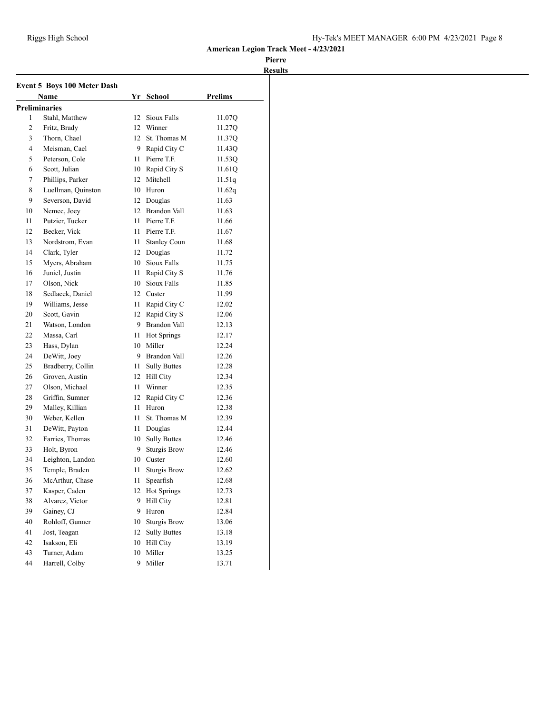| Event 5 Boys 100 Meter Dash |                      |      |                     |                |  |
|-----------------------------|----------------------|------|---------------------|----------------|--|
|                             | Name                 | Yr   | School              | <b>Prelims</b> |  |
|                             | <b>Preliminaries</b> |      |                     |                |  |
| 1                           | Stahl, Matthew       | 12   | Sioux Falls         | 11.07Q         |  |
| 2                           | Fritz, Brady         |      | 12 Winner           | 11.27Q         |  |
| 3                           | Thorn, Chael         |      | 12 St. Thomas M     | 11.37Q         |  |
| 4                           | Meisman, Cael        | 9    | Rapid City C        | 11.43Q         |  |
| 5                           | Peterson, Cole       | 11   | Pierre T.F.         | 11.53Q         |  |
| 6                           | Scott, Julian        | 10   | Rapid City S        | 11.61Q         |  |
| 7                           | Phillips, Parker     | 12   | Mitchell            | 11.51q         |  |
| 8                           | Luellman, Quinston   |      | 10 Huron            | 11.62q         |  |
| 9                           | Severson, David      |      | 12 Douglas          | 11.63          |  |
| 10                          | Nemec, Joey          |      | 12 Brandon Vall     | 11.63          |  |
| 11                          | Putzier, Tucker      | 11   | Pierre T.F.         | 11.66          |  |
| 12                          | Becker, Vick         | 11 - | Pierre T.F.         | 11.67          |  |
| 13                          | Nordstrom, Evan      | 11   | <b>Stanley Coun</b> | 11.68          |  |
| 14                          | Clark, Tyler         |      | 12 Douglas          | 11.72          |  |
| 15                          | Myers, Abraham       |      | 10 Sioux Falls      | 11.75          |  |
| 16                          | Juniel, Justin       | 11   | Rapid City S        | 11.76          |  |
| 17                          | Olson, Nick          | 10   | Sioux Falls         | 11.85          |  |
| 18                          | Sedlacek, Daniel     |      | 12 Custer           | 11.99          |  |
| 19                          | Williams, Jesse      | 11   | Rapid City C        | 12.02          |  |
| 20                          | Scott, Gavin         | 12   | Rapid City S        | 12.06          |  |
| 21                          | Watson, London       |      | 9 Brandon Vall      | 12.13          |  |
| 22                          | Massa, Carl          | 11   | <b>Hot Springs</b>  | 12.17          |  |
| 23                          | Hass, Dylan          |      | 10 Miller           | 12.24          |  |
| 24                          | DeWitt, Joey         |      | 9 Brandon Vall      | 12.26          |  |
| 25                          | Bradberry, Collin    | 11   | <b>Sully Buttes</b> | 12.28          |  |
| 26                          | Groven, Austin       |      | 12 Hill City        | 12.34          |  |
| 27                          | Olson, Michael       | 11   | Winner              | 12.35          |  |
| 28                          | Griffin, Sumner      | 12   | Rapid City C        | 12.36          |  |
| 29                          | Malley, Killian      | 11   | Huron               | 12.38          |  |
| 30                          | Weber, Kellen        | 11   | St. Thomas M        | 12.39          |  |
| 31                          | DeWitt, Payton       | 11   | Douglas             | 12.44          |  |
| 32                          | Farries, Thomas      | 10   | <b>Sully Buttes</b> | 12.46          |  |
| 33                          | Holt, Byron          | 9    | <b>Sturgis Brow</b> | 12.46          |  |
| 34                          | Leighton, Landon     | 10   | Custer              | 12.60          |  |
| 35                          | Temple, Braden       | 11   | <b>Sturgis Brow</b> | 12.62          |  |
| 36                          | McArthur, Chase      | 11   | Spearfish           | 12.68          |  |
| 37                          | Kasper, Caden        | 12   | Hot Springs         | 12.73          |  |
| 38                          | Alvarez, Victor      | 9    | Hill City           | 12.81          |  |
| 39                          | Gainey, CJ           | 9    | Huron               | 12.84          |  |
| 40                          | Rohloff, Gunner      | 10   | <b>Sturgis Brow</b> | 13.06          |  |
| 41                          | Jost, Teagan         | 12   | <b>Sully Buttes</b> | 13.18          |  |
| 42                          | Isakson, Eli         | 10   | Hill City           | 13.19          |  |
| 43                          | Turner, Adam         | 10   | Miller              | 13.25          |  |
| 44                          | Harrell, Colby       | 9    | Miller              | 13.71          |  |
|                             |                      |      |                     |                |  |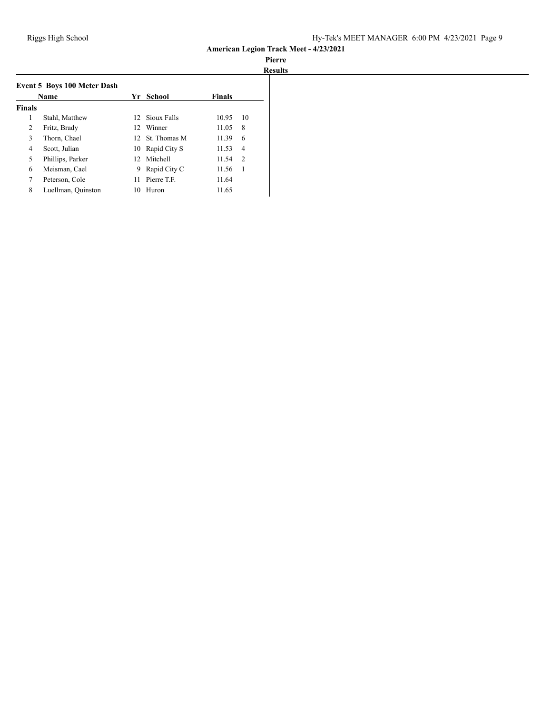# **Pierre**

|               |                                    |    |                 |               | <b>Results</b> |
|---------------|------------------------------------|----|-----------------|---------------|----------------|
|               | <b>Event 5 Boys 100 Meter Dash</b> |    |                 |               |                |
|               | <b>Name</b>                        |    | Yr School       | <b>Finals</b> |                |
| <b>Finals</b> |                                    |    |                 |               |                |
| 1             | Stahl, Matthew                     |    | 12 Sioux Falls  | 10.95         | 10             |
| 2             | Fritz, Brady                       |    | 12 Winner       | 11.05         | 8              |
| 3             | Thorn, Chael                       |    | 12 St. Thomas M | 11.39         | 6              |
| 4             | Scott, Julian                      | 10 | Rapid City S    | 11.53         | $\overline{4}$ |
| 5             | Phillips, Parker                   |    | 12 Mitchell     | 11.54         | $\mathcal{D}$  |
| 6             | Meisman, Cael                      | 9  | Rapid City C    | 11.56         | 1              |
| 7             | Peterson, Cole                     | 11 | Pierre T.F.     | 11.64         |                |
| 8             | Luellman, Quinston                 | 10 | Huron           | 11.65         |                |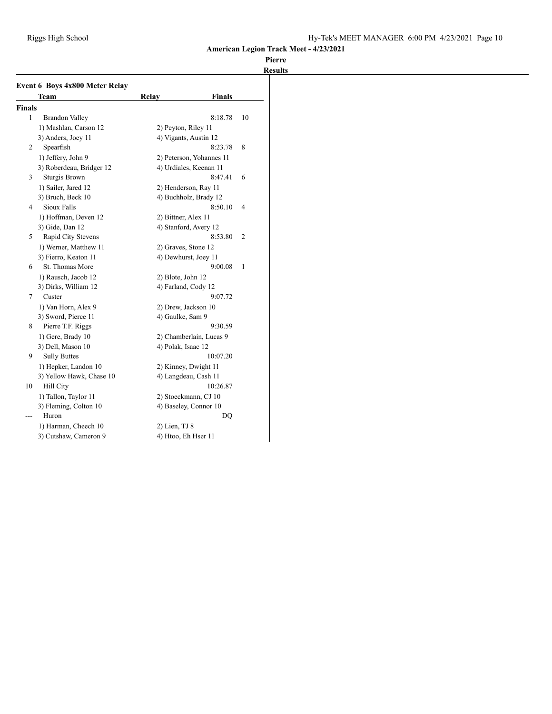|               | <b>Team</b>              | Relay               | <b>Finals</b>            |    |
|---------------|--------------------------|---------------------|--------------------------|----|
| <b>Finals</b> |                          |                     |                          |    |
| 1             | <b>Brandon Valley</b>    |                     | 8:18.78                  | 10 |
|               | 1) Mashlan, Carson 12    | 2) Peyton, Riley 11 |                          |    |
|               | 3) Anders, Joey 11       |                     | 4) Vigants, Austin 12    |    |
| 2             | Spearfish                |                     | 8:23.78                  | 8  |
|               | 1) Jeffery, John 9       |                     | 2) Peterson, Yohannes 11 |    |
|               | 3) Roberdeau, Bridger 12 |                     | 4) Urdiales, Keenan 11   |    |
| 3             | Sturgis Brown            |                     | 8:47.41                  | 6  |
|               | 1) Sailer, Jared 12      |                     | 2) Henderson, Ray 11     |    |
|               | 3) Bruch, Beck 10        |                     | 4) Buchholz, Brady 12    |    |
| 4             | Sioux Falls              |                     | 8:50.10                  | 4  |
|               | 1) Hoffman, Deven 12     | 2) Bittner, Alex 11 |                          |    |
|               | 3) Gide, Dan 12          |                     | 4) Stanford, Avery 12    |    |
| 5             | Rapid City Stevens       |                     | 8:53.80                  | 2  |
|               | 1) Werner, Matthew 11    | 2) Graves, Stone 12 |                          |    |
|               | 3) Fierro, Keaton 11     |                     | 4) Dewhurst, Joey 11     |    |
| 6             | St. Thomas More          |                     | 9:00.08                  | 1  |
|               | 1) Rausch, Jacob 12      | 2) Blote, John 12   |                          |    |
|               | 3) Dirks, William 12     | 4) Farland, Cody 12 |                          |    |
| 7             | Custer                   |                     | 9:07.72                  |    |
|               | 1) Van Horn, Alex 9      |                     | 2) Drew, Jackson 10      |    |
|               | 3) Sword, Pierce 11      | 4) Gaulke, Sam 9    |                          |    |
| 8             | Pierre T.F. Riggs        |                     | 9:30.59                  |    |
|               | 1) Gere, Brady 10        |                     | 2) Chamberlain, Lucas 9  |    |
|               | 3) Dell, Mason 10        | 4) Polak, Isaac 12  |                          |    |
| 9             | <b>Sully Buttes</b>      |                     | 10:07.20                 |    |
|               | 1) Hepker, Landon 10     |                     | 2) Kinney, Dwight 11     |    |
|               | 3) Yellow Hawk, Chase 10 |                     | 4) Langdeau, Cash 11     |    |
| 10            | Hill City                |                     | 10:26.87                 |    |
|               | 1) Tallon, Taylor 11     |                     | 2) Stoeckmann, CJ 10     |    |
|               | 3) Fleming, Colton 10    |                     | 4) Baseley, Connor 10    |    |
|               | Huron                    |                     | DQ                       |    |
|               | 1) Harman, Cheech 10     | 2) Lien, TJ 8       |                          |    |
|               | 3) Cutshaw, Cameron 9    | 4) Htoo, Eh Hser 11 |                          |    |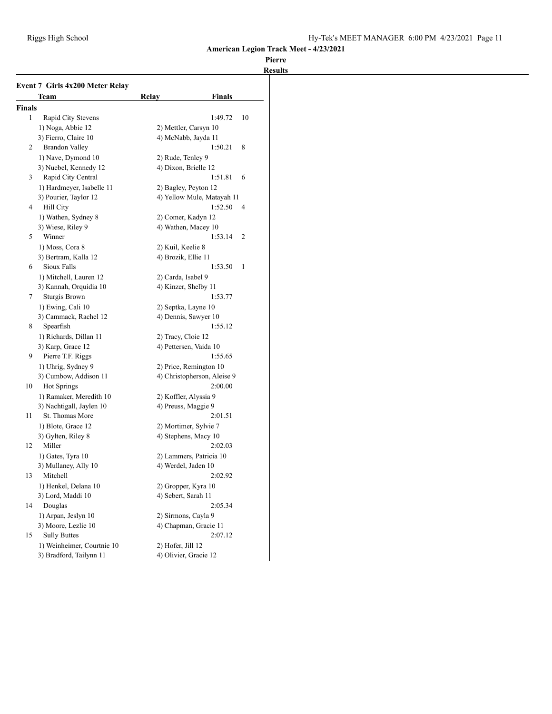|        | <b>Event 7 Girls 4x200 Meter Relay</b> |                        |                             |    |
|--------|----------------------------------------|------------------------|-----------------------------|----|
|        | Team                                   | Relay                  | <b>Finals</b>               |    |
| Finals |                                        |                        |                             |    |
| 1      | Rapid City Stevens                     |                        | 1:49.72                     | 10 |
|        | 1) Noga, Abbie 12                      | 2) Mettler, Carsyn 10  |                             |    |
|        | 3) Fierro, Claire 10                   | 4) McNabb, Jayda 11    |                             |    |
| 2      | <b>Brandon Valley</b>                  |                        | 1:50.21                     | 8  |
|        | 1) Nave, Dymond 10                     | 2) Rude, Tenley 9      |                             |    |
|        | 3) Nuebel, Kennedy 12                  | 4) Dixon, Brielle 12   |                             |    |
| 3      | Rapid City Central                     |                        | 1:51.81                     | 6  |
|        | 1) Hardmeyer, Isabelle 11              | 2) Bagley, Peyton 12   |                             |    |
|        | 3) Pourier, Taylor 12                  |                        | 4) Yellow Mule, Matayah 11  |    |
| 4      | Hill City                              |                        | 1:52.50                     | 4  |
|        | 1) Wathen, Sydney 8                    | 2) Comer, Kadyn 12     |                             |    |
|        | 3) Wiese, Riley 9                      | 4) Wathen, Macey 10    |                             |    |
| 5      | Winner                                 |                        | 1:53.14                     | 2  |
|        | 1) Moss, Cora 8                        | 2) Kuil, Keelie 8      |                             |    |
|        | 3) Bertram, Kalla 12                   | 4) Brozik, Ellie 11    |                             |    |
| 6      | Sioux Falls                            |                        | 1:53.50                     | 1  |
|        | 1) Mitchell, Lauren 12                 | 2) Carda, Isabel 9     |                             |    |
|        | 3) Kannah, Orquidia 10                 | 4) Kinzer, Shelby 11   |                             |    |
| 7      | Sturgis Brown                          |                        | 1:53.77                     |    |
|        | 1) Ewing, Cali 10                      | 2) Septka, Layne 10    |                             |    |
|        | 3) Cammack, Rachel 12                  | 4) Dennis, Sawyer 10   |                             |    |
| 8      | Spearfish                              |                        | 1:55.12                     |    |
|        | 1) Richards, Dillan 11                 | 2) Tracy, Cloie 12     |                             |    |
|        | 3) Karp, Grace 12                      | 4) Pettersen, Vaida 10 |                             |    |
| 9      | Pierre T.F. Riggs                      |                        | 1:55.65                     |    |
|        | 1) Uhrig, Sydney 9                     |                        | 2) Price, Remington 10      |    |
|        | 3) Cumbow, Addison 11                  |                        | 4) Christopherson, Aleise 9 |    |
| 10     | <b>Hot Springs</b>                     |                        | 2:00.00                     |    |
|        | 1) Ramaker, Meredith 10                | 2) Koffler, Alyssia 9  |                             |    |
|        | 3) Nachtigall, Jaylen 10               | 4) Preuss, Maggie 9    |                             |    |
| 11     | St. Thomas More                        |                        | 2:01.51                     |    |
|        | 1) Blote, Grace 12                     | 2) Mortimer, Sylvie 7  |                             |    |
|        | 3) Gylten, Riley 8                     | 4) Stephens, Macy 10   |                             |    |
| 12     | Miller                                 |                        | 2:02.03                     |    |
|        | 1) Gates, Tyra 10                      |                        | 2) Lammers, Patricia 10     |    |
|        | 3) Mullaney, Ally 10                   | 4) Werdel, Jaden 10    |                             |    |
| 13     | Mitchell                               |                        | 2:02.92                     |    |
|        | 1) Henkel, Delana 10                   | 2) Gropper, Kyra 10    |                             |    |
|        | 3) Lord, Maddi 10                      | 4) Sebert, Sarah 11    |                             |    |
| 14     | Douglas                                |                        | 2:05.34                     |    |
|        | 1) Arpan, Jeslyn 10                    | 2) Sirmons, Cayla 9    |                             |    |
|        | 3) Moore, Lezlie 10                    |                        | 4) Chapman, Gracie 11       |    |
| 15     | <b>Sully Buttes</b>                    |                        | 2:07.12                     |    |
|        | 1) Weinheimer, Courtnie 10             | 2) Hofer, Jill 12      |                             |    |
|        | 3) Bradford, Tailynn 11                | 4) Olivier, Gracie 12  |                             |    |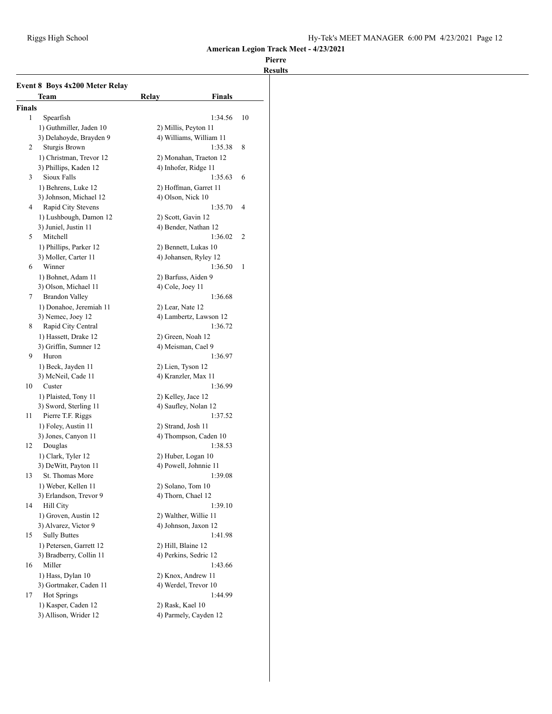|               | Team                    | Finals<br>Relay         |    |
|---------------|-------------------------|-------------------------|----|
| <b>Finals</b> |                         |                         |    |
| 1             | Spearfish               | 1:34.56                 | 10 |
|               | 1) Guthmiller, Jaden 10 | 2) Millis, Peyton 11    |    |
|               | 3) Delahoyde, Brayden 9 | 4) Williams, William 11 |    |
| 2             | Sturgis Brown           | 1:35.38                 | 8  |
|               | 1) Christman, Trevor 12 | 2) Monahan, Traeton 12  |    |
|               | 3) Phillips, Kaden 12   | 4) Inhofer, Ridge 11    |    |
| 3             | Sioux Falls             | 1:35.63                 | 6  |
|               | 1) Behrens, Luke 12     | 2) Hoffman, Garret 11   |    |
|               | 3) Johnson, Michael 12  | 4) Olson, Nick 10       |    |
| 4             | Rapid City Stevens      | 1:35.70                 | 4  |
|               | 1) Lushbough, Damon 12  | 2) Scott, Gavin 12      |    |
|               | 3) Juniel, Justin 11    | 4) Bender, Nathan 12    |    |
| 5             | Mitchell                | 1:36.02                 | 2  |
|               | 1) Phillips, Parker 12  | 2) Bennett, Lukas 10    |    |
|               | 3) Moller, Carter 11    | 4) Johansen, Ryley 12   |    |
| 6             | Winner                  | 1:36.50                 | 1  |
|               | 1) Bohnet, Adam 11      | 2) Barfuss, Aiden 9     |    |
|               | 3) Olson, Michael 11    | $(4)$ Cole, Joey 11     |    |
| 7             | <b>Brandon Valley</b>   | 1:36.68                 |    |
|               | 1) Donahoe, Jeremiah 11 | 2) Lear, Nate 12        |    |
|               | 3) Nemec, Joey 12       | 4) Lambertz, Lawson 12  |    |
| 8             | Rapid City Central      | 1:36.72                 |    |
|               | 1) Hassett, Drake 12    | 2) Green, Noah 12       |    |
|               | 3) Griffin, Sumner 12   | 4) Meisman, Cael 9      |    |
| 9             | Huron                   | 1:36.97                 |    |
|               | 1) Beck, Jayden 11      | 2) Lien, Tyson 12       |    |
|               | 3) McNeil, Cade 11      | 4) Kranzler, Max 11     |    |
| 10            | Custer                  | 1:36.99                 |    |
|               | 1) Plaisted, Tony 11    | 2) Kelley, Jace 12      |    |
|               | 3) Sword, Sterling 11   | 4) Saufley, Nolan 12    |    |
| 11            | Pierre T.F. Riggs       | 1:37.52                 |    |
|               | 1) Foley, Austin 11     | 2) Strand, Josh 11      |    |
|               | 3) Jones, Canyon 11     | 4) Thompson, Caden 10   |    |
| 12            | Douglas                 | 1:38.53                 |    |
|               | 1) Clark, Tyler 12      | 2) Huber, Logan 10      |    |
|               | 3) DeWitt, Payton 11    | 4) Powell, Johnnie 11   |    |
| 13            | St. Thomas More         | 1:39.08                 |    |
|               | 1) Weber, Kellen 11     | 2) Solano, Tom 10       |    |
|               | 3) Erlandson, Trevor 9  | 4) Thorn, Chael 12      |    |
| 14            | Hill City               | 1:39.10                 |    |
|               | 1) Groven, Austin 12    | 2) Walther, Willie 11   |    |
|               | 3) Alvarez, Victor 9    | 4) Johnson, Jaxon 12    |    |
| 15            | <b>Sully Buttes</b>     | 1:41.98                 |    |
|               | 1) Petersen, Garrett 12 | 2) Hill, Blaine 12      |    |
|               | 3) Bradberry, Collin 11 | 4) Perkins, Sedric 12   |    |
| 16            | Miller                  | 1:43.66                 |    |
|               | 1) Hass, Dylan 10       | 2) Knox, Andrew 11      |    |
|               | 3) Gortmaker, Caden 11  | 4) Werdel, Trevor 10    |    |
| 17            | Hot Springs             | 1:44.99                 |    |
|               | 1) Kasper, Caden 12     | 2) Rask, Kael 10        |    |
|               | 3) Allison, Wrider 12   | 4) Parmely, Cayden 12   |    |
|               |                         |                         |    |
|               |                         |                         |    |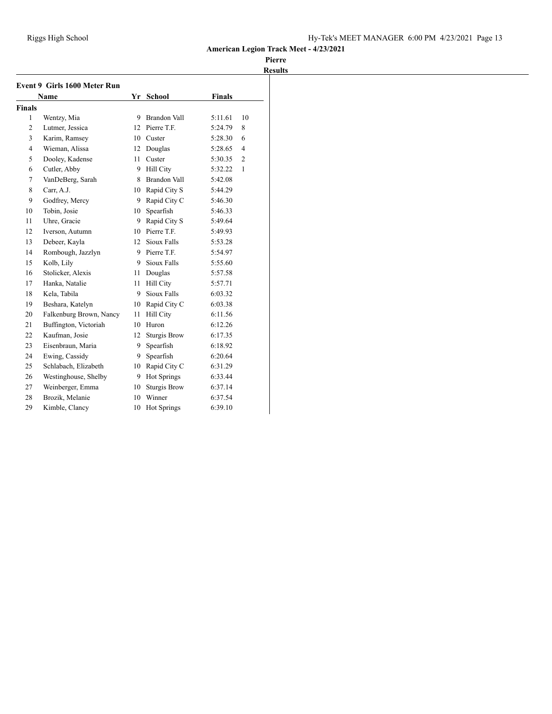|                | Event 9 Girls 1600 Meter Run |    |                     |         |                |
|----------------|------------------------------|----|---------------------|---------|----------------|
|                | <b>Name</b>                  |    | Yr School           | Finals  |                |
| <b>Finals</b>  |                              |    |                     |         |                |
| $\mathbf{1}$   | Wentzy, Mia                  | 9  | <b>Brandon Vall</b> | 5:11.61 | 10             |
| 2              | Lutmer, Jessica              | 12 | Pierre T.F.         | 5:24.79 | 8              |
| 3              | Karim, Ramsey                | 10 | Custer              | 5:28.30 | 6              |
| $\overline{4}$ | Wieman, Alissa               | 12 | Douglas             | 5:28.65 | $\overline{4}$ |
| 5              | Dooley, Kadense              | 11 | Custer              | 5:30.35 | $\overline{2}$ |
| 6              | Cutler, Abby                 | 9  | Hill City           | 5:32.22 | $\mathbf{1}$   |
| 7              | VanDeBerg, Sarah             | 8  | <b>Brandon Vall</b> | 5:42.08 |                |
| 8              | Carr, A.J.                   | 10 | Rapid City S        | 5:44.29 |                |
| 9              | Godfrey, Mercy               | 9  | Rapid City C        | 5:46.30 |                |
| 10             | Tobin, Josie                 | 10 | Spearfish           | 5:46.33 |                |
| 11             | Uhre, Gracie                 | 9  | Rapid City S        | 5:49.64 |                |
| 12             | Iverson, Autumn              | 10 | Pierre T.F.         | 5:49.93 |                |
| 13             | Debeer, Kayla                | 12 | Sioux Falls         | 5:53.28 |                |
| 14             | Rombough, Jazzlyn            | 9. | Pierre T.F.         | 5:54.97 |                |
| 15             | Kolb, Lily                   |    | 9 Sioux Falls       | 5:55.60 |                |
| 16             | Stolicker, Alexis            | 11 | Douglas             | 5:57.58 |                |
| 17             | Hanka, Natalie               | 11 | <b>Hill City</b>    | 5:57.71 |                |
| 18             | Kela, Tabila                 | 9  | Sioux Falls         | 6:03.32 |                |
| 19             | Beshara, Katelyn             | 10 | Rapid City C        | 6:03.38 |                |
| 20             | Falkenburg Brown, Nancy      | 11 | <b>Hill City</b>    | 6:11.56 |                |
| 21             | Buffington, Victoriah        | 10 | Huron               | 6:12.26 |                |
| 22             | Kaufman, Josie               | 12 | <b>Sturgis Brow</b> | 6:17.35 |                |
| 23             | Eisenbraun, Maria            | 9  | Spearfish           | 6:18.92 |                |
| 24             | Ewing, Cassidy               | 9  | Spearfish           | 6:20.64 |                |
| 25             | Schlabach, Elizabeth         | 10 | Rapid City C        | 6:31.29 |                |
| 26             | Westinghouse, Shelby         | 9  | Hot Springs         | 6:33.44 |                |
| 27             | Weinberger, Emma             | 10 | <b>Sturgis Brow</b> | 6:37.14 |                |
| 28             | Brozik, Melanie              | 10 | Winner              | 6:37.54 |                |
| 29             | Kimble, Clancy               | 10 | <b>Hot Springs</b>  | 6:39.10 |                |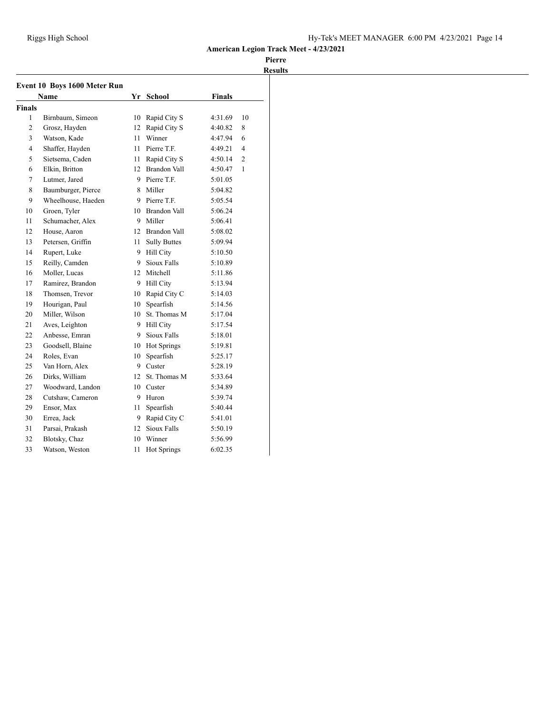| <b>Event 10 Boys 1600 Meter Run</b> |                    |                 |                     |               |                |  |
|-------------------------------------|--------------------|-----------------|---------------------|---------------|----------------|--|
|                                     | Name               |                 | Yr School           | <b>Finals</b> |                |  |
| <b>Finals</b>                       |                    |                 |                     |               |                |  |
| 1                                   | Birnbaum, Simeon   | 10              | Rapid City S        | 4:31.69       | 10             |  |
| 2                                   | Grosz, Hayden      | 12              | Rapid City S        | 4:40.82       | 8              |  |
| 3                                   | Watson, Kade       | 11              | Winner              | 4:47.94       | 6              |  |
| 4                                   | Shaffer, Hayden    |                 | 11 Pierre T.F.      | 4:49.21       | 4              |  |
| 5                                   | Sietsema, Caden    |                 | 11 Rapid City S     | 4:50.14       | $\overline{2}$ |  |
| 6                                   | Elkin, Britton     |                 | 12 Brandon Vall     | 4:50.47       | 1              |  |
| 7                                   | Lutmer, Jared      |                 | 9 Pierre T.F.       | 5:01.05       |                |  |
| 8                                   | Baumburger, Pierce |                 | 8 Miller            | 5:04.82       |                |  |
| 9                                   | Wheelhouse, Haeden |                 | 9 Pierre T.F.       | 5:05.54       |                |  |
| 10                                  | Groen, Tyler       |                 | 10 Brandon Vall     | 5:06.24       |                |  |
| 11                                  | Schumacher, Alex   |                 | 9 Miller            | 5:06.41       |                |  |
| 12                                  | House, Aaron       |                 | 12 Brandon Vall     | 5:08.02       |                |  |
| 13                                  | Petersen, Griffin  | 11              | <b>Sully Buttes</b> | 5:09.94       |                |  |
| 14                                  | Rupert, Luke       |                 | 9 Hill City         | 5:10.50       |                |  |
| 15                                  | Reilly, Camden     | 9               | Sioux Falls         | 5:10.89       |                |  |
| 16                                  | Moller, Lucas      | 12 <sup>7</sup> | Mitchell            | 5:11.86       |                |  |
| 17                                  | Ramirez, Brandon   |                 | 9 Hill City         | 5:13.94       |                |  |
| 18                                  | Thomsen, Trevor    | 10              | Rapid City C        | 5:14.03       |                |  |
| 19                                  | Hourigan, Paul     | 10              | Spearfish           | 5:14.56       |                |  |
| 20                                  | Miller, Wilson     | 10              | St. Thomas M        | 5:17.04       |                |  |
| 21                                  | Aves, Leighton     | 9               | <b>Hill City</b>    | 5:17.54       |                |  |
| 22                                  | Anbesse, Emran     | 9               | Sioux Falls         | 5:18.01       |                |  |
| 23                                  | Goodsell, Blaine   | 10              | Hot Springs         | 5:19.81       |                |  |
| 24                                  | Roles, Evan        | 10              | Spearfish           | 5:25.17       |                |  |
| 25                                  | Van Horn, Alex     | 9.              | Custer              | 5:28.19       |                |  |
| 26                                  | Dirks, William     | 12              | St. Thomas M        | 5:33.64       |                |  |
| 27                                  | Woodward, Landon   | 10              | Custer              | 5:34.89       |                |  |
| 28                                  | Cutshaw, Cameron   | 9.              | Huron               | 5:39.74       |                |  |
| 29                                  | Ensor, Max         | 11              | Spearfish           | 5:40.44       |                |  |
| 30                                  | Errea, Jack        | 9.              | Rapid City C        | 5:41.01       |                |  |
| 31                                  | Parsai, Prakash    |                 | 12 Sioux Falls      | 5:50.19       |                |  |
| 32                                  | Blotsky, Chaz      | 10              | Winner              | 5:56.99       |                |  |
| 33                                  | Watson, Weston     | 11              | <b>Hot Springs</b>  | 6:02.35       |                |  |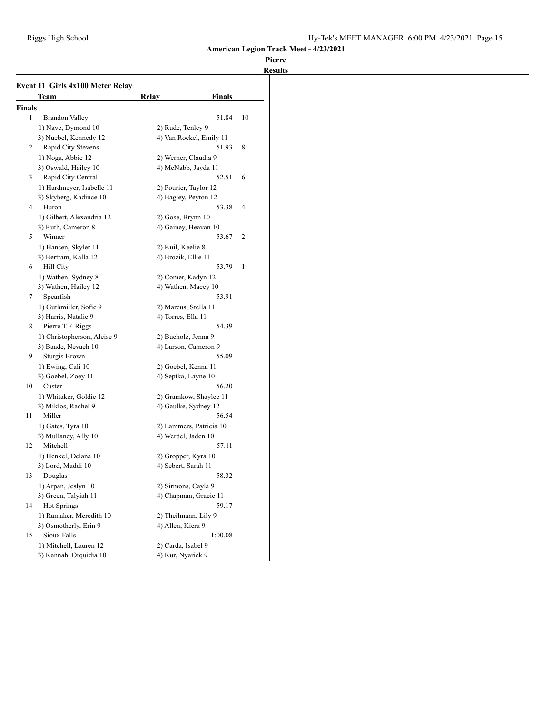|        | Team                                        | <b>Finals</b><br>Relay                       |    |
|--------|---------------------------------------------|----------------------------------------------|----|
| Finals |                                             |                                              |    |
| 1      | <b>Brandon Valley</b>                       | 51.84                                        | 10 |
|        | 1) Nave, Dymond 10                          | 2) Rude, Tenley 9                            |    |
|        | 3) Nuebel, Kennedy 12                       | 4) Van Roekel, Emily 11                      |    |
| 2      | Rapid City Stevens                          | 51.93                                        | 8  |
|        | 1) Noga, Abbie 12                           | 2) Werner, Claudia 9                         |    |
|        | 3) Oswald, Hailey 10                        | 4) McNabb, Jayda 11                          |    |
| 3      | Rapid City Central                          | 52.51                                        | 6  |
|        | 1) Hardmeyer, Isabelle 11                   | 2) Pourier, Taylor 12                        |    |
|        | 3) Skyberg, Kadince 10                      | 4) Bagley, Peyton 12                         |    |
| 4      | Huron                                       | 53.38                                        | 4  |
|        | 1) Gilbert, Alexandria 12                   | $2)$ Gose, Brynn $10$                        |    |
|        | 3) Ruth, Cameron 8                          | 4) Gainey, Heavan 10                         |    |
| 5      | Winner                                      | 53.67                                        | 2  |
|        | 1) Hansen, Skyler 11                        | 2) Kuil, Keelie 8                            |    |
|        | 3) Bertram, Kalla 12                        | 4) Brozik, Ellie 11                          |    |
| 6      | <b>Hill City</b>                            | 53.79                                        | 1  |
|        | 1) Wathen, Sydney 8                         | 2) Comer, Kadyn 12                           |    |
|        | 3) Wathen, Hailey 12                        | 4) Wathen, Macey 10                          |    |
| 7      | Spearfish                                   | 53.91                                        |    |
|        | 1) Guthmiller, Sofie 9                      | 2) Marcus, Stella 11                         |    |
|        | 3) Harris, Natalie 9                        | 4) Torres, Ella 11                           |    |
| 8      | Pierre T.F. Riggs                           | 54.39                                        |    |
|        | 1) Christopherson, Aleise 9                 | 2) Bucholz, Jenna 9                          |    |
|        | 3) Baade, Nevaeh 10                         | 4) Larson, Cameron 9                         |    |
| 9      | Sturgis Brown                               | 55.09                                        |    |
|        | 1) Ewing, Cali 10                           | 2) Goebel, Kenna 11                          |    |
|        | 3) Goebel, Zoey 11                          | 4) Septka, Layne 10                          |    |
| 10     | Custer                                      | 56.20                                        |    |
|        | 1) Whitaker, Goldie 12                      | 2) Gramkow, Shaylee 11                       |    |
|        | 3) Miklos, Rachel 9                         | 4) Gaulke, Sydney 12                         |    |
| 11     | Miller                                      | 56.54                                        |    |
|        | 1) Gates, Tyra 10                           | 2) Lammers, Patricia 10                      |    |
|        | 3) Mullaney, Ally 10                        | 4) Werdel, Jaden 10                          |    |
| 12     | Mitchell                                    | 57.11                                        |    |
|        | 1) Henkel, Delana 10                        | 2) Gropper, Kyra 10                          |    |
|        | 3) Lord, Maddi 10                           | 4) Sebert, Sarah 11                          |    |
| 13     | Douglas                                     | 58.32                                        |    |
|        |                                             |                                              |    |
|        | 1) Arpan, Jeslyn 10<br>3) Green, Talyiah 11 | 2) Sirmons, Cayla 9<br>4) Chapman, Gracie 11 |    |
| 14     | Hot Springs                                 | 59.17                                        |    |
|        | 1) Ramaker, Meredith 10                     | 2) Theilmann, Lily 9                         |    |
|        | 3) Osmotherly, Erin 9                       | 4) Allen, Kiera 9                            |    |
| 15     | Sioux Falls                                 | 1:00.08                                      |    |
|        | 1) Mitchell, Lauren 12                      | 2) Carda, Isabel 9                           |    |
|        | 3) Kannah, Orquidia 10                      | 4) Kur, Nyariek 9                            |    |
|        |                                             |                                              |    |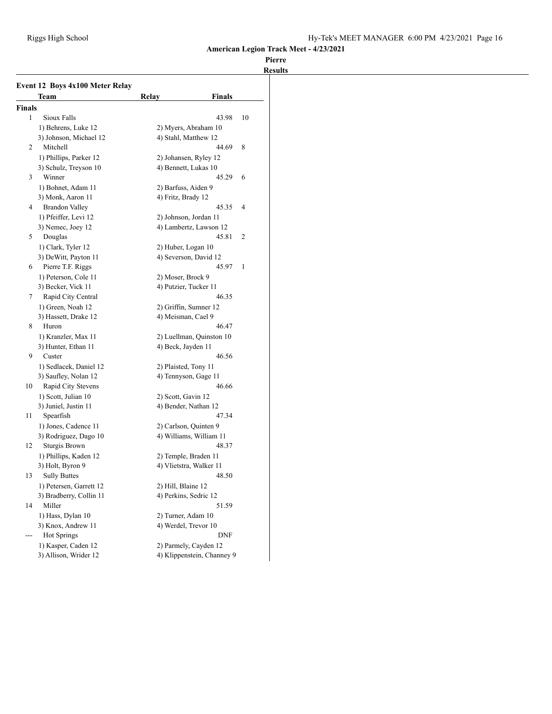|        | Event 12 Boys 4x100 Meter Relay<br>Team            | Relay                 | <b>Finals</b>              |    |
|--------|----------------------------------------------------|-----------------------|----------------------------|----|
| Finals |                                                    |                       |                            |    |
| 1      | Sioux Falls                                        |                       | 43.98                      | 10 |
|        | 1) Behrens, Luke 12                                |                       | 2) Myers, Abraham 10       |    |
|        | 3) Johnson, Michael 12                             | 4) Stahl, Matthew 12  |                            |    |
| 2      | Mitchell                                           |                       | 44.69                      | 8  |
|        | 1) Phillips, Parker 12                             | 2) Johansen, Ryley 12 |                            |    |
|        | 3) Schulz, Treyson 10                              | 4) Bennett, Lukas 10  |                            |    |
| 3      | Winner                                             |                       | 45.29                      | 6  |
|        | 1) Bohnet, Adam 11                                 | 2) Barfuss, Aiden 9   |                            |    |
|        | 3) Monk, Aaron 11                                  | 4) Fritz, Brady 12    |                            |    |
| 4      | <b>Brandon Valley</b>                              |                       | 45.35                      | 4  |
|        | 1) Pfeiffer, Levi 12                               | 2) Johnson, Jordan 11 |                            |    |
|        | 3) Nemec, Joey 12                                  |                       | 4) Lambertz, Lawson 12     |    |
| 5      | Douglas                                            |                       | 45.81                      | 2  |
|        | 1) Clark, Tyler 12                                 | 2) Huber, Logan 10    |                            |    |
|        | 3) DeWitt, Payton 11                               | 4) Severson, David 12 |                            |    |
| 6      | Pierre T.F. Riggs                                  |                       | 45.97                      | 1  |
|        | 1) Peterson, Cole 11                               | 2) Moser, Brock 9     |                            |    |
|        | 3) Becker, Vick 11                                 | 4) Putzier, Tucker 11 |                            |    |
| 7      | Rapid City Central                                 |                       | 46.35                      |    |
|        | 1) Green, Noah 12                                  | 2) Griffin, Sumner 12 |                            |    |
|        | 3) Hassett, Drake 12                               | 4) Meisman, Cael 9    |                            |    |
| 8      | Huron                                              |                       | 46.47                      |    |
|        | 1) Kranzler, Max 11                                |                       | 2) Luellman, Quinston 10   |    |
|        | 3) Hunter, Ethan 11                                | 4) Beck, Jayden 11    |                            |    |
| 9      | Custer                                             |                       | 46.56                      |    |
|        | 1) Sedlacek, Daniel 12                             | 2) Plaisted, Tony 11  |                            |    |
|        | 3) Saufley, Nolan 12                               | 4) Tennyson, Gage 11  |                            |    |
| 10     | Rapid City Stevens                                 |                       | 46.66                      |    |
|        | 1) Scott, Julian 10                                | 2) Scott, Gavin 12    |                            |    |
|        | 3) Juniel, Justin 11                               | 4) Bender, Nathan 12  |                            |    |
| 11     | Spearfish                                          |                       | 47.34                      |    |
|        | 1) Jones, Cadence 11                               | 2) Carlson, Quinten 9 |                            |    |
|        | 3) Rodriguez, Dago 10                              |                       | 4) Williams, William 11    |    |
| 12     | Sturgis Brown                                      |                       | 48.37                      |    |
|        | 1) Phillips, Kaden 12                              | 2) Temple, Braden 11  |                            |    |
|        | 3) Holt, Byron 9                                   |                       | 4) Vlietstra, Walker 11    |    |
| 13     | <b>Sully Buttes</b>                                | 2) Hill, Blaine 12    | 48.50                      |    |
|        | 1) Petersen, Garrett 12<br>3) Bradberry, Collin 11 | 4) Perkins, Sedric 12 |                            |    |
| 14     | Miller                                             |                       | 51.59                      |    |
|        | 1) Hass, Dylan 10                                  | 2) Turner, Adam 10    |                            |    |
|        | 3) Knox, Andrew 11                                 | 4) Werdel, Trevor 10  |                            |    |
| ---    | Hot Springs                                        |                       | DNF                        |    |
|        | 1) Kasper, Caden 12                                |                       | 2) Parmely, Cayden 12      |    |
|        | 3) Allison, Wrider 12                              |                       | 4) Klippenstein, Channey 9 |    |
|        |                                                    |                       |                            |    |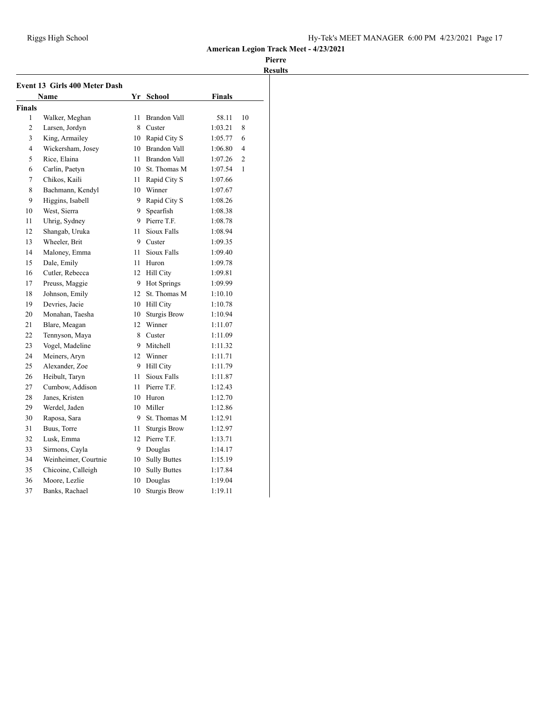|                | <b>Event 13 Girls 400 Meter Dash</b> |     |                     |         |                |
|----------------|--------------------------------------|-----|---------------------|---------|----------------|
|                | Name                                 |     | Yr School           | Finals  |                |
| <b>Finals</b>  |                                      |     |                     |         |                |
| 1              | Walker, Meghan                       | 11  | Brandon Vall        | 58.11   | 10             |
| $\overline{2}$ | Larsen, Jordyn                       | 8   | Custer              | 1:03.21 | 8              |
| 3              | King, Armailey                       | 10  | Rapid City S        | 1:05.77 | 6              |
| $\overline{4}$ | Wickersham, Josey                    | 10  | <b>Brandon Vall</b> | 1:06.80 | $\overline{4}$ |
| 5              | Rice, Elaina                         | 11. | Brandon Vall        | 1:07.26 | $\overline{c}$ |
| 6              | Carlin, Paetyn                       | 10  | St. Thomas M        | 1:07.54 | 1              |
| 7              | Chikos, Kaili                        | 11  | Rapid City S        | 1:07.66 |                |
| 8              | Bachmann, Kendyl                     | 10  | Winner              | 1:07.67 |                |
| 9              | Higgins, Isabell                     | 9   | Rapid City S        | 1:08.26 |                |
| 10             | West, Sierra                         | 9   | Spearfish           | 1:08.38 |                |
| 11             | Uhrig, Sydney                        | 9.  | Pierre T.F.         | 1:08.78 |                |
| 12             | Shangab, Uruka                       | 11  | Sioux Falls         | 1:08.94 |                |
| 13             | Wheeler, Brit                        | 9   | Custer              | 1:09.35 |                |
| 14             | Maloney, Emma                        | 11  | Sioux Falls         | 1:09.40 |                |
| 15             | Dale, Emily                          | 11  | Huron               | 1:09.78 |                |
| 16             | Cutler, Rebecca                      | 12  | Hill City           | 1:09.81 |                |
| 17             | Preuss, Maggie                       | 9.  | <b>Hot Springs</b>  | 1:09.99 |                |
| 18             | Johnson, Emily                       | 12  | St. Thomas M        | 1:10.10 |                |
| 19             | Devries, Jacie                       | 10  | <b>Hill City</b>    | 1:10.78 |                |
| 20             | Monahan, Taesha                      | 10  | <b>Sturgis Brow</b> | 1:10.94 |                |
| 21             | Blare, Meagan                        | 12  | Winner              | 1:11.07 |                |
| 22             | Tennyson, Maya                       | 8   | Custer              | 1:11.09 |                |
| 23             | Vogel, Madeline                      | 9   | Mitchell            | 1:11.32 |                |
| 24             | Meiners, Aryn                        | 12  | Winner              | 1:11.71 |                |
| 25             | Alexander, Zoe                       | 9.  | <b>Hill City</b>    | 1:11.79 |                |
| 26             | Heibult, Taryn                       | 11  | Sioux Falls         | 1:11.87 |                |
| 27             | Cumbow, Addison                      | 11  | Pierre T.F.         | 1:12.43 |                |
| 28             | Janes, Kristen                       | 10  | Huron               | 1:12.70 |                |
| 29             | Werdel, Jaden                        | 10  | Miller              | 1:12.86 |                |
| 30             | Raposa, Sara                         | 9   | St. Thomas M        | 1:12.91 |                |
| 31             | Buus, Torre                          | 11  | <b>Sturgis Brow</b> | 1:12.97 |                |
| 32             | Lusk, Emma                           | 12  | Pierre T.F.         | 1:13.71 |                |
| 33             | Sirmons, Cayla                       | 9   | Douglas             | 1:14.17 |                |
| 34             | Weinheimer, Courtnie                 | 10  | <b>Sully Buttes</b> | 1:15.19 |                |
| 35             | Chicoine, Calleigh                   | 10  | <b>Sully Buttes</b> | 1:17.84 |                |
| 36             | Moore, Lezlie                        | 10  | Douglas             | 1:19.04 |                |
| 37             | Banks, Rachael                       | 10  | <b>Sturgis Brow</b> | 1:19.11 |                |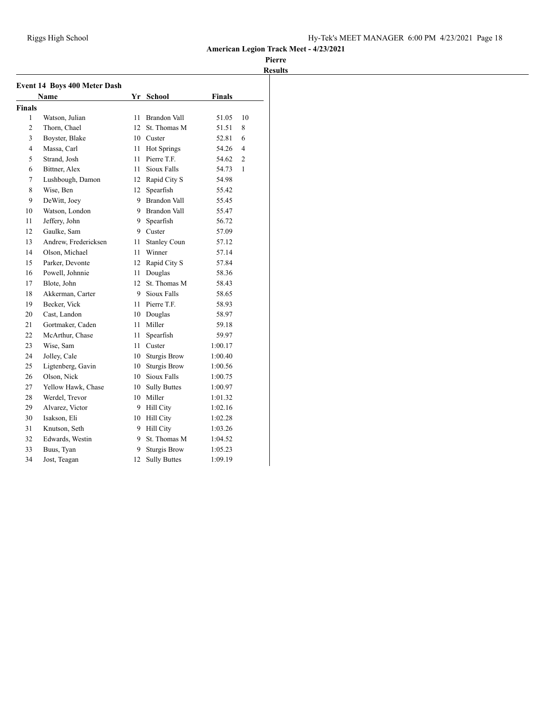|                | <b>Event 14 Boys 400 Meter Dash</b> |     |                     |               |                |
|----------------|-------------------------------------|-----|---------------------|---------------|----------------|
|                | Name                                |     | Yr School           | <b>Finals</b> |                |
| <b>Finals</b>  |                                     |     |                     |               |                |
| 1              | Watson, Julian                      | 11  | <b>Brandon Vall</b> | 51.05         | 10             |
| $\overline{c}$ | Thorn, Chael                        | 12  | St. Thomas M        | 51.51         | 8              |
| 3              | Boyster, Blake                      |     | 10 Custer           | 52.81         | 6              |
| 4              | Massa, Carl                         | 11  | <b>Hot Springs</b>  | 54.26         | 4              |
| 5              | Strand, Josh                        | 11. | Pierre T.F.         | 54.62         | $\overline{c}$ |
| 6              | Bittner, Alex                       | 11  | Sioux Falls         | 54.73         | 1              |
| 7              | Lushbough, Damon                    | 12  | Rapid City S        | 54.98         |                |
| 8              | Wise, Ben                           | 12  | Spearfish           | 55.42         |                |
| 9              | DeWitt, Joey                        | 9   | Brandon Vall        | 55.45         |                |
| 10             | Watson, London                      |     | 9 Brandon Vall      | 55.47         |                |
| 11             | Jeffery, John                       | 9.  | Spearfish           | 56.72         |                |
| 12             | Gaulke, Sam                         |     | 9 Custer            | 57.09         |                |
| 13             | Andrew, Fredericksen                | 11  | <b>Stanley Coun</b> | 57.12         |                |
| 14             | Olson, Michael                      | 11  | Winner              | 57.14         |                |
| 15             | Parker, Devonte                     | 12  | Rapid City S        | 57.84         |                |
| 16             | Powell, Johnnie                     | 11  | Douglas             | 58.36         |                |
| 17             | Blote, John                         | 12  | St. Thomas M        | 58.43         |                |
| 18             | Akkerman, Carter                    |     | 9 Sioux Falls       | 58.65         |                |
| 19             | Becker, Vick                        |     | 11 Pierre T.F.      | 58.93         |                |
| 20             | Cast, Landon                        |     | 10 Douglas          | 58.97         |                |
| 21             | Gortmaker, Caden                    | 11  | Miller              | 59.18         |                |
| 22             | McArthur, Chase                     | 11  | Spearfish           | 59.97         |                |
| 23             | Wise, Sam                           | 11. | Custer              | 1:00.17       |                |
| 24             | Jolley, Cale                        | 10  | <b>Sturgis Brow</b> | 1:00.40       |                |
| 25             | Ligtenberg, Gavin                   | 10  | <b>Sturgis Brow</b> | 1:00.56       |                |
| 26             | Olson, Nick                         |     | 10 Sioux Falls      | 1:00.75       |                |
| 27             | Yellow Hawk, Chase                  | 10  | <b>Sully Buttes</b> | 1:00.97       |                |
| 28             | Werdel, Trevor                      |     | 10 Miller           | 1:01.32       |                |
| 29             | Alvarez, Victor                     |     | 9 Hill City         | 1:02.16       |                |
| 30             | Isakson, Eli                        |     | 10 Hill City        | 1:02.28       |                |
| 31             | Knutson, Seth                       |     | 9 Hill City         | 1:03.26       |                |
| 32             | Edwards, Westin                     | 9   | St. Thomas M        | 1:04.52       |                |
| 33             | Buus, Tyan                          | 9.  | <b>Sturgis Brow</b> | 1:05.23       |                |
| 34             | Jost, Teagan                        | 12  | <b>Sully Buttes</b> | 1:09.19       |                |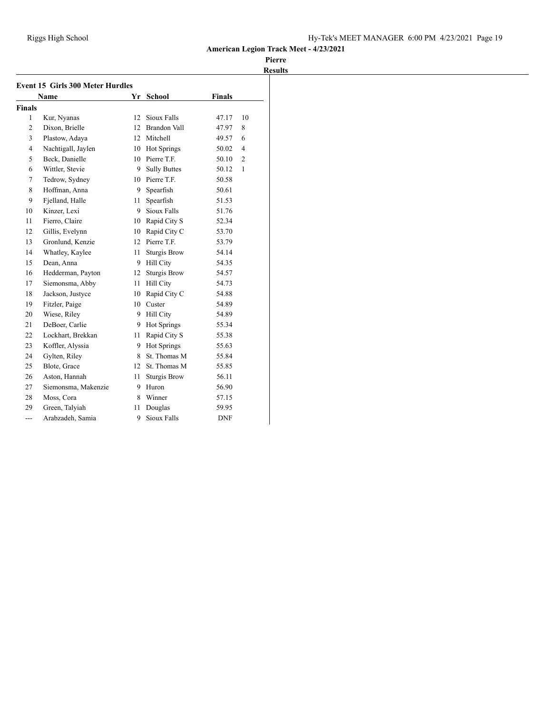|                | <b>Event 15 Girls 300 Meter Hurdles</b> |    |                     |               |                |
|----------------|-----------------------------------------|----|---------------------|---------------|----------------|
|                | <b>Name</b>                             | Yr | <b>School</b>       | <b>Finals</b> |                |
| <b>Finals</b>  |                                         |    |                     |               |                |
| 1              | Kur, Nyanas                             | 12 | Sioux Falls         | 47.17         | 10             |
| $\overline{c}$ | Dixon, Brielle                          | 12 | Brandon Vall        | 47.97         | 8              |
| 3              | Plastow, Adaya                          |    | 12 Mitchell         | 49.57         | 6              |
| $\overline{4}$ | Nachtigall, Jaylen                      | 10 | Hot Springs         | 50.02         | $\overline{4}$ |
| 5              | Beck, Danielle                          |    | 10 Pierre T.F.      | 50.10         | $\overline{2}$ |
| 6              | Wittler, Stevie                         | 9. | <b>Sully Buttes</b> | 50.12         | $\mathbf{1}$   |
| 7              | Tedrow, Sydney                          |    | 10 Pierre T.F.      | 50.58         |                |
| 8              | Hoffman, Anna                           | 9. | Spearfish           | 50.61         |                |
| 9              | Fjelland, Halle                         | 11 | Spearfish           | 51.53         |                |
| 10             | Kinzer, Lexi                            | 9  | Sioux Falls         | 51.76         |                |
| 11             | Fierro, Claire                          |    | 10 Rapid City S     | 52.34         |                |
| 12             | Gillis, Evelynn                         |    | 10 Rapid City C     | 53.70         |                |
| 13             | Gronlund, Kenzie                        | 12 | Pierre T.F.         | 53.79         |                |
| 14             | Whatley, Kaylee                         | 11 | <b>Sturgis Brow</b> | 54.14         |                |
| 15             | Dean, Anna                              | 9  | <b>Hill City</b>    | 54.35         |                |
| 16             | Hedderman, Payton                       | 12 | <b>Sturgis Brow</b> | 54.57         |                |
| 17             | Siemonsma, Abby                         | 11 | <b>Hill City</b>    | 54.73         |                |
| 18             | Jackson, Justyce                        | 10 | Rapid City C        | 54.88         |                |
| 19             | Fitzler, Paige                          | 10 | Custer              | 54.89         |                |
| 20             | Wiese, Riley                            | 9  | <b>Hill City</b>    | 54.89         |                |
| 21             | DeBoer, Carlie                          | 9  | Hot Springs         | 55.34         |                |
| 22             | Lockhart, Brekkan                       | 11 | Rapid City S        | 55.38         |                |
| 23             | Koffler, Alyssia                        | 9  | Hot Springs         | 55.63         |                |
| 24             | Gylten, Riley                           | 8  | St. Thomas M        | 55.84         |                |
| 25             | Blote, Grace                            | 12 | St. Thomas M        | 55.85         |                |
| 26             | Aston, Hannah                           | 11 | <b>Sturgis Brow</b> | 56.11         |                |
| 27             | Siemonsma, Makenzie                     | 9  | Huron               | 56.90         |                |
| 28             | Moss, Cora                              | 8  | Winner              | 57.15         |                |
| 29             | Green, Talyiah                          | 11 | Douglas             | 59.95         |                |
| ---            | Arabzadeh, Samia                        | 9  | Sioux Falls         | <b>DNF</b>    |                |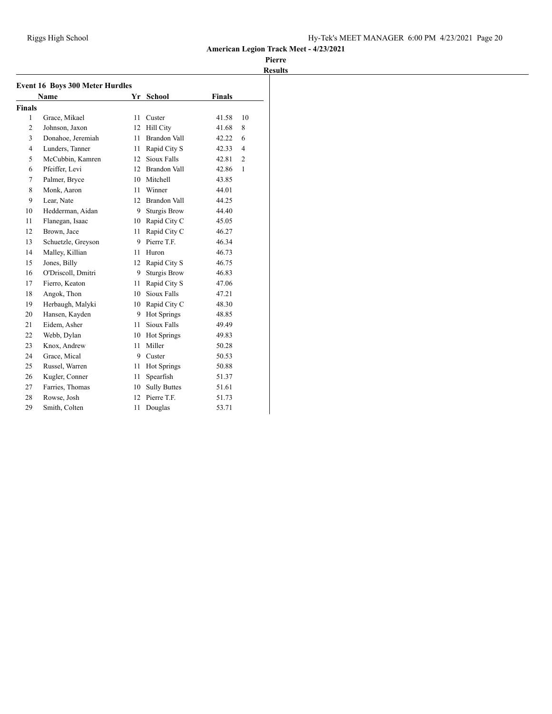|                | <b>Event 16 Boys 300 Meter Hurdles</b> |    |                     |               |                |
|----------------|----------------------------------------|----|---------------------|---------------|----------------|
|                | Name                                   | Yr | School              | <b>Finals</b> |                |
| <b>Finals</b>  |                                        |    |                     |               |                |
| 1              | Grace, Mikael                          | 11 | Custer              | 41.58         | 10             |
| $\overline{2}$ | Johnson, Jaxon                         | 12 | <b>Hill City</b>    | 41.68         | 8              |
| 3              | Donahoe, Jeremiah                      | 11 | <b>Brandon Vall</b> | 42.22         | 6              |
| $\overline{4}$ | Lunders, Tanner                        | 11 | Rapid City S        | 42.33         | $\overline{4}$ |
| 5              | McCubbin, Kamren                       | 12 | Sioux Falls         | 42.81         | $\overline{2}$ |
| 6              | Pfeiffer, Levi                         | 12 | <b>Brandon Vall</b> | 42.86         | $\mathbf{1}$   |
| 7              | Palmer, Bryce                          | 10 | Mitchell            | 43.85         |                |
| 8              | Monk, Aaron                            | 11 | Winner              | 44.01         |                |
| 9              | Lear, Nate                             | 12 | <b>Brandon Vall</b> | 44.25         |                |
| 10             | Hedderman, Aidan                       | 9  | <b>Sturgis Brow</b> | 44.40         |                |
| 11             | Flanegan, Isaac                        | 10 | Rapid City C        | 45.05         |                |
| 12             | Brown, Jace                            | 11 | Rapid City C        | 46.27         |                |
| 13             | Schuetzle, Greyson                     | 9  | Pierre T.F.         | 46.34         |                |
| 14             | Malley, Killian                        | 11 | Huron               | 46.73         |                |
| 15             | Jones, Billy                           | 12 | Rapid City S        | 46.75         |                |
| 16             | O'Driscoll, Dmitri                     | 9  | <b>Sturgis Brow</b> | 46.83         |                |
| 17             | Fierro, Keaton                         | 11 | Rapid City S        | 47.06         |                |
| 18             | Angok, Thon                            | 10 | Sioux Falls         | 47.21         |                |
| 19             | Herbaugh, Malyki                       | 10 | Rapid City C        | 48.30         |                |
| 20             | Hansen, Kayden                         | 9  | <b>Hot Springs</b>  | 48.85         |                |
| 21             | Eidem, Asher                           | 11 | Sioux Falls         | 49.49         |                |
| 22             | Webb, Dylan                            | 10 | Hot Springs         | 49.83         |                |
| 23             | Knox, Andrew                           | 11 | Miller              | 50.28         |                |
| 24             | Grace, Mical                           | 9  | Custer              | 50.53         |                |
| 25             | Russel, Warren                         | 11 | Hot Springs         | 50.88         |                |
| 26             | Kugler, Conner                         | 11 | Spearfish           | 51.37         |                |
| 27             | Farries, Thomas                        | 10 | <b>Sully Buttes</b> | 51.61         |                |
| 28             | Rowse, Josh                            | 12 | Pierre T.F.         | 51.73         |                |
| 29             | Smith, Colten                          | 11 | Douglas             | 53.71         |                |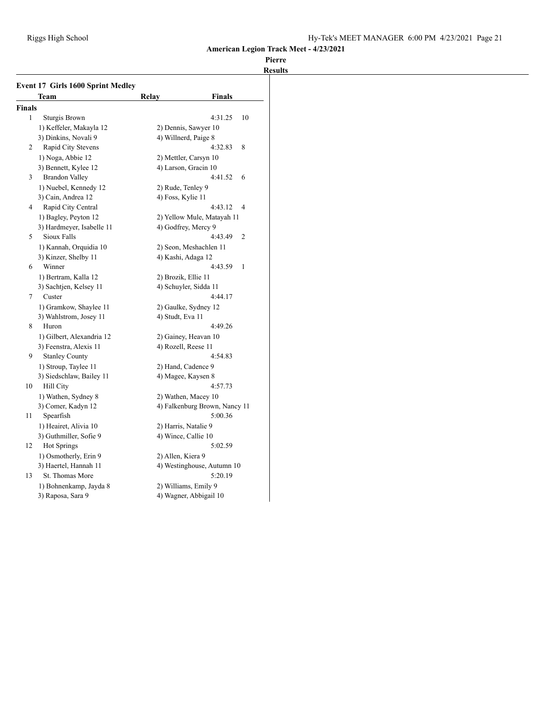|               | Team                      | Relay               | Finals                        |
|---------------|---------------------------|---------------------|-------------------------------|
| <b>Finals</b> |                           |                     |                               |
| 1             | Sturgis Brown             |                     | 4:31.25<br>10                 |
|               | 1) Keffeler, Makayla 12   |                     | 2) Dennis, Sawyer 10          |
|               | 3) Dinkins, Novali 9      |                     | 4) Willnerd, Paige 8          |
| 2             | Rapid City Stevens        |                     | 4:32.83<br>8                  |
|               | 1) Noga, Abbie 12         |                     | 2) Mettler, Carsyn 10         |
|               | 3) Bennett, Kylee 12      |                     | 4) Larson, Gracin 10          |
| 3             | <b>Brandon Valley</b>     |                     | 4:41.52<br>6                  |
|               | 1) Nuebel, Kennedy 12     | 2) Rude, Tenley 9   |                               |
|               | 3) Cain, Andrea 12        | 4) Foss, Kylie 11   |                               |
| 4             | Rapid City Central        |                     | 4<br>4:43.12                  |
|               | 1) Bagley, Peyton 12      |                     | 2) Yellow Mule, Matayah 11    |
|               | 3) Hardmeyer, Isabelle 11 |                     | 4) Godfrey, Mercy 9           |
| 5             | Sioux Falls               |                     | $\overline{2}$<br>4:43.49     |
|               | 1) Kannah, Orquidia 10    |                     | 2) Seon, Meshachlen 11        |
|               | 3) Kinzer, Shelby 11      |                     | 4) Kashi, Adaga 12            |
| 6             | Winner                    |                     | 4:43.59<br>1                  |
|               | 1) Bertram, Kalla 12      | 2) Brozik, Ellie 11 |                               |
|               | 3) Sachtjen, Kelsey 11    |                     | 4) Schuyler, Sidda 11         |
| 7             | Custer                    |                     | 4:44.17                       |
|               | 1) Gramkow, Shaylee 11    |                     | 2) Gaulke, Sydney 12          |
|               | 3) Wahlstrom, Josey 11    | 4) Studt, Eva 11    |                               |
| 8             | Huron                     |                     | 4:49.26                       |
|               | 1) Gilbert, Alexandria 12 |                     | 2) Gainey, Heavan 10          |
|               | 3) Feenstra, Alexis 11    |                     | 4) Rozell, Reese 11           |
| 9             | <b>Stanley County</b>     |                     | 4:54.83                       |
|               | 1) Stroup, Taylee 11      |                     | 2) Hand, Cadence 9            |
|               | 3) Siedschlaw, Bailey 11  |                     | 4) Magee, Kaysen 8            |
| 10            | Hill City                 |                     | 4:57.73                       |
|               | 1) Wathen, Sydney 8       |                     | 2) Wathen, Macey 10           |
|               | 3) Comer, Kadyn 12        |                     | 4) Falkenburg Brown, Nancy 11 |
| 11            | Spearfish                 |                     | 5:00.36                       |
|               | 1) Heairet, Alivia 10     |                     | 2) Harris, Natalie 9          |
|               | 3) Guthmiller, Sofie 9    |                     | 4) Wince, Callie 10           |
| 12            | Hot Springs               |                     | 5:02.59                       |
|               | 1) Osmotherly, Erin 9     | 2) Allen, Kiera 9   |                               |
|               | 3) Haertel, Hannah 11     |                     | 4) Westinghouse, Autumn 10    |
| 13            | St. Thomas More           |                     | 5:20.19                       |
|               | 1) Bohnenkamp, Jayda 8    |                     | 2) Williams, Emily 9          |
|               | 3) Raposa, Sara 9         |                     | 4) Wagner, Abbigail 10        |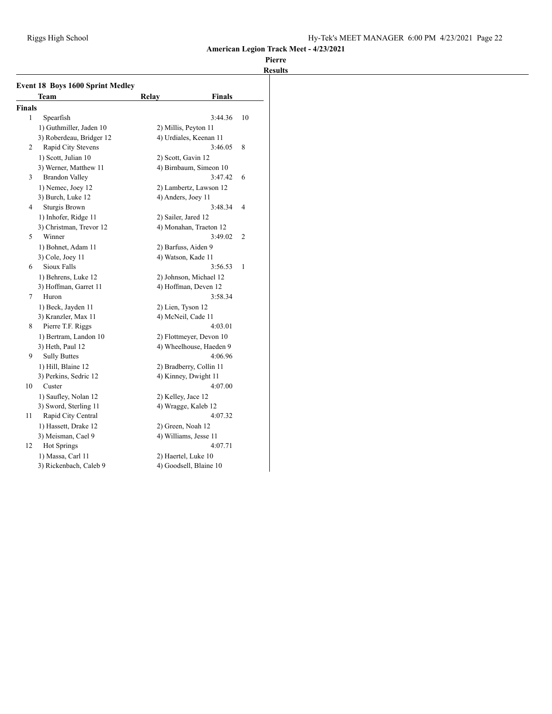|               | Team                     | Relay                | <b>Finals</b>           |                |
|---------------|--------------------------|----------------------|-------------------------|----------------|
| <b>Finals</b> |                          |                      |                         |                |
| 1             | Spearfish                |                      | 3:44.36                 | 10             |
|               | 1) Guthmiller, Jaden 10  | 2) Millis, Peyton 11 |                         |                |
|               | 3) Roberdeau, Bridger 12 |                      | 4) Urdiales, Keenan 11  |                |
| 2             | Rapid City Stevens       |                      | 3:46.05                 | 8              |
|               | 1) Scott, Julian 10      | 2) Scott, Gavin 12   |                         |                |
|               | 3) Werner, Matthew 11    |                      | 4) Birnbaum, Simeon 10  |                |
| 3             | <b>Brandon Valley</b>    |                      | 3:47.42                 | 6              |
|               | 1) Nemec, Joey 12        |                      | 2) Lambertz, Lawson 12  |                |
|               | 3) Burch, Luke 12        | 4) Anders, Joey 11   |                         |                |
| 4             | <b>Sturgis Brown</b>     |                      | 3:48.34                 | 4              |
|               | 1) Inhofer, Ridge 11     | 2) Sailer, Jared 12  |                         |                |
|               | 3) Christman, Trevor 12  |                      | 4) Monahan, Traeton 12  |                |
| 5             | Winner                   |                      | 3:49.02                 | $\overline{c}$ |
|               | 1) Bohnet, Adam 11       | 2) Barfuss, Aiden 9  |                         |                |
|               | 3) Cole, Joey 11         | 4) Watson, Kade 11   |                         |                |
| 6             | Sioux Falls              |                      | 3:56.53                 | 1              |
|               | 1) Behrens, Luke 12      |                      | 2) Johnson, Michael 12  |                |
|               | 3) Hoffman, Garret 11    |                      | 4) Hoffman, Deven 12    |                |
| 7             | Huron                    |                      | 3:58.34                 |                |
|               | 1) Beck, Jayden 11       | 2) Lien, Tyson 12    |                         |                |
|               | 3) Kranzler, Max 11      | 4) McNeil, Cade 11   |                         |                |
| 8             | Pierre T.F. Riggs        |                      | 4:03.01                 |                |
|               | 1) Bertram, Landon 10    |                      | 2) Flottmeyer, Devon 10 |                |
|               | 3) Heth, Paul 12         |                      | 4) Wheelhouse, Haeden 9 |                |
| 9             | <b>Sully Buttes</b>      |                      | 4:06.96                 |                |
|               | 1) Hill, Blaine 12       |                      | 2) Bradberry, Collin 11 |                |
|               | 3) Perkins, Sedric 12    |                      | 4) Kinney, Dwight 11    |                |
| 10            | Custer                   |                      | 4:07.00                 |                |
|               | 1) Saufley, Nolan 12     | 2) Kelley, Jace 12   |                         |                |
|               | 3) Sword, Sterling 11    |                      | 4) Wragge, Kaleb 12     |                |
| 11            | Rapid City Central       |                      | 4:07.32                 |                |
|               | 1) Hassett, Drake 12     | 2) Green, Noah 12    |                         |                |
|               | 3) Meisman, Cael 9       |                      | 4) Williams, Jesse 11   |                |
| 12            | <b>Hot Springs</b>       |                      | 4:07.71                 |                |
|               | 1) Massa, Carl 11        | 2) Haertel, Luke 10  |                         |                |
|               | 3) Rickenbach, Caleb 9   |                      | 4) Goodsell, Blaine 10  |                |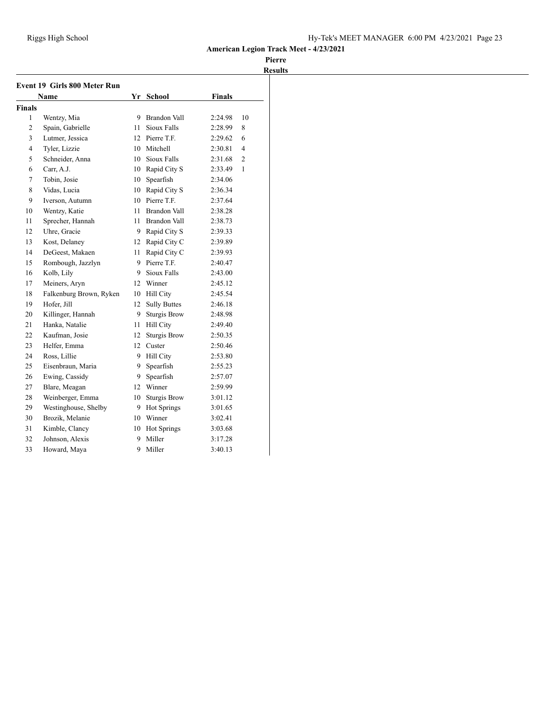|               | Event 19 Girls 800 Meter Run |    |                     |               |                |
|---------------|------------------------------|----|---------------------|---------------|----------------|
|               | Name                         |    | Yr School           | <b>Finals</b> |                |
| <b>Finals</b> |                              |    |                     |               |                |
| 1             | Wentzy, Mia                  | 9  | <b>Brandon Vall</b> | 2:24.98       | 10             |
| 2             | Spain, Gabrielle             | 11 | Sioux Falls         | 2:28.99       | 8              |
| 3             | Lutmer, Jessica              |    | 12 Pierre T.F.      | 2:29.62       | 6              |
| 4             | Tyler, Lizzie                |    | 10 Mitchell         | 2:30.81       | 4              |
| 5             | Schneider, Anna              |    | 10 Sioux Falls      | 2:31.68       | $\overline{c}$ |
| 6             | Carr, A.J.                   |    | 10 Rapid City S     | 2:33.49       | 1              |
| 7             | Tobin, Josie                 | 10 | Spearfish           | 2:34.06       |                |
| 8             | Vidas, Lucia                 |    | 10 Rapid City S     | 2:36.34       |                |
| 9             | Iverson, Autumn              | 10 | Pierre T.F.         | 2:37.64       |                |
| 10            | Wentzy, Katie                | 11 | <b>Brandon Vall</b> | 2:38.28       |                |
| 11            | Sprecher, Hannah             | 11 | Brandon Vall        | 2:38.73       |                |
| 12            | Uhre, Gracie                 |    | 9 Rapid City S      | 2:39.33       |                |
| 13            | Kost, Delaney                |    | 12 Rapid City C     | 2:39.89       |                |
| 14            | DeGeest, Makaen              | 11 | Rapid City C        | 2:39.93       |                |
| 15            | Rombough, Jazzlyn            | 9  | Pierre T.F.         | 2:40.47       |                |
| 16            | Kolb, Lily                   | 9  | Sioux Falls         | 2:43.00       |                |
| 17            | Meiners, Aryn                | 12 | Winner              | 2:45.12       |                |
| 18            | Falkenburg Brown, Ryken      |    | 10 Hill City        | 2:45.54       |                |
| 19            | Hofer. Jill                  | 12 | <b>Sully Buttes</b> | 2:46.18       |                |
| 20            | Killinger, Hannah            | 9  | <b>Sturgis Brow</b> | 2:48.98       |                |
| 21            | Hanka, Natalie               | 11 | Hill City           | 2:49.40       |                |
| 22            | Kaufman, Josie               | 12 | <b>Sturgis Brow</b> | 2:50.35       |                |
| 23            | Helfer, Emma                 | 12 | Custer              | 2:50.46       |                |
| 24            | Ross, Lillie                 | 9  | <b>Hill City</b>    | 2:53.80       |                |
| 25            | Eisenbraun, Maria            | 9  | Spearfish           | 2:55.23       |                |
| 26            | Ewing, Cassidy               | 9  | Spearfish           | 2:57.07       |                |
| 27            | Blare, Meagan                |    | 12 Winner           | 2:59.99       |                |
| 28            | Weinberger, Emma             | 10 | <b>Sturgis Brow</b> | 3:01.12       |                |
| 29            | Westinghouse, Shelby         |    | 9 Hot Springs       | 3:01.65       |                |
| 30            | Brozik, Melanie              |    | 10 Winner           | 3:02.41       |                |
| 31            | Kimble, Clancy               | 10 | <b>Hot Springs</b>  | 3:03.68       |                |
| 32            | Johnson, Alexis              | 9  | Miller              | 3:17.28       |                |
| 33            | Howard, Maya                 | 9  | Miller              | 3:40.13       |                |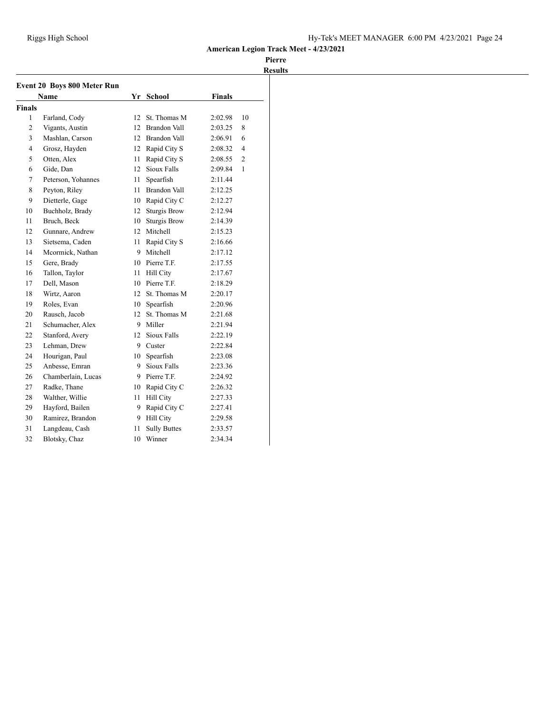| <b>Event 20 Boys 800 Meter Run</b> |                    |    |                     |               |                |  |
|------------------------------------|--------------------|----|---------------------|---------------|----------------|--|
|                                    | Name               |    | Yr School           | <b>Finals</b> |                |  |
| <b>Finals</b>                      |                    |    |                     |               |                |  |
| 1                                  | Farland, Cody      | 12 | St. Thomas M        | 2:02.98       | 10             |  |
| $\overline{c}$                     | Vigants, Austin    | 12 | Brandon Vall        | 2:03.25       | 8              |  |
| 3                                  | Mashlan, Carson    |    | 12 Brandon Vall     | 2:06.91       | 6              |  |
| 4                                  | Grosz, Hayden      | 12 | Rapid City S        | 2:08.32       | 4              |  |
| 5                                  | Otten, Alex        | 11 | Rapid City S        | 2:08.55       | $\overline{2}$ |  |
| 6                                  | Gide, Dan          | 12 | Sioux Falls         | 2:09.84       | 1              |  |
| 7                                  | Peterson, Yohannes | 11 | Spearfish           | 2:11.44       |                |  |
| 8                                  | Peyton, Riley      | 11 | Brandon Vall        | 2:12.25       |                |  |
| 9                                  | Dietterle, Gage    |    | 10 Rapid City C     | 2:12.27       |                |  |
| 10                                 | Buchholz, Brady    | 12 | <b>Sturgis Brow</b> | 2:12.94       |                |  |
| 11                                 | Bruch, Beck        | 10 | <b>Sturgis Brow</b> | 2:14.39       |                |  |
| 12                                 | Gunnare, Andrew    |    | 12 Mitchell         | 2:15.23       |                |  |
| 13                                 | Sietsema, Caden    | 11 | Rapid City S        | 2:16.66       |                |  |
| 14                                 | Mcormick, Nathan   | 9  | Mitchell            | 2:17.12       |                |  |
| 15                                 | Gere, Brady        | 10 | Pierre T.F.         | 2:17.55       |                |  |
| 16                                 | Tallon, Taylor     | 11 | <b>Hill City</b>    | 2:17.67       |                |  |
| 17                                 | Dell, Mason        | 10 | Pierre T.F.         | 2:18.29       |                |  |
| 18                                 | Wirtz, Aaron       | 12 | St. Thomas M        | 2:20.17       |                |  |
| 19                                 | Roles, Evan        | 10 | Spearfish           | 2:20.96       |                |  |
| 20                                 | Rausch, Jacob      | 12 | St. Thomas M        | 2:21.68       |                |  |
| 21                                 | Schumacher, Alex   | 9  | Miller              | 2:21.94       |                |  |
| 22                                 | Stanford, Avery    | 12 | Sioux Falls         | 2:22.19       |                |  |
| 23                                 | Lehman, Drew       | 9. | Custer              | 2:22.84       |                |  |
| 24                                 | Hourigan, Paul     | 10 | Spearfish           | 2:23.08       |                |  |
| 25                                 | Anbesse, Emran     | 9  | Sioux Falls         | 2:23.36       |                |  |
| 26                                 | Chamberlain, Lucas | 9. | Pierre T.F.         | 2:24.92       |                |  |
| 27                                 | Radke, Thane       | 10 | Rapid City C        | 2:26.32       |                |  |
| 28                                 | Walther, Willie    | 11 | <b>Hill City</b>    | 2:27.33       |                |  |
| 29                                 | Hayford, Bailen    | 9  | Rapid City C        | 2:27.41       |                |  |
| 30                                 | Ramirez, Brandon   | 9  | Hill City           | 2:29.58       |                |  |
| 31                                 | Langdeau, Cash     | 11 | <b>Sully Buttes</b> | 2:33.57       |                |  |
| 32                                 | Blotsky, Chaz      | 10 | Winner              | 2:34.34       |                |  |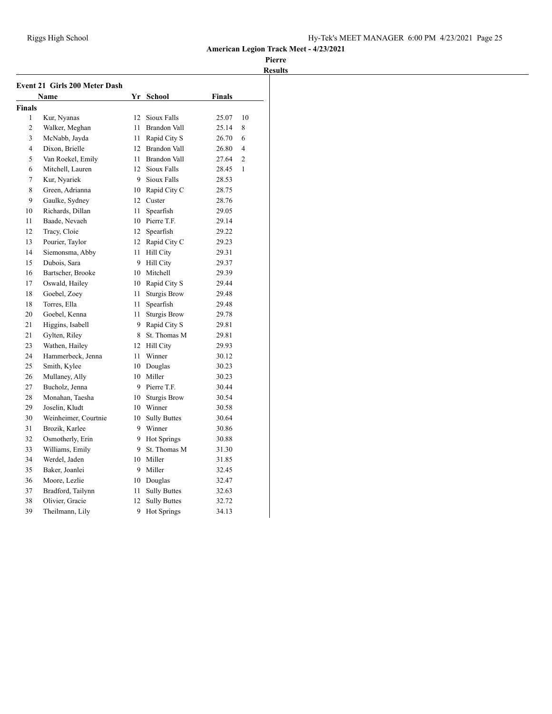|                | <b>Event 21 Girls 200 Meter Dash</b> |      |                     |               |                |
|----------------|--------------------------------------|------|---------------------|---------------|----------------|
|                | <b>Name</b>                          |      | Yr School           | <b>Finals</b> |                |
| <b>Finals</b>  |                                      |      |                     |               |                |
| 1              | Kur, Nyanas                          | 12   | Sioux Falls         | 25.07         | 10             |
| $\overline{c}$ | Walker, Meghan                       | 11   | <b>Brandon Vall</b> | 25.14         | 8              |
| 3              | McNabb, Jayda                        | 11 - | Rapid City S        | 26.70         | 6              |
| $\overline{4}$ | Dixon, Brielle                       |      | 12 Brandon Vall     | 26.80         | $\overline{4}$ |
| 5              | Van Roekel, Emily                    | 11   | <b>Brandon Vall</b> | 27.64         | $\overline{2}$ |
| 6              | Mitchell, Lauren                     | 12   | Sioux Falls         | 28.45         | 1              |
| 7              | Kur, Nyariek                         | 9    | Sioux Falls         | 28.53         |                |
| 8              | Green, Adrianna                      |      | 10 Rapid City C     | 28.75         |                |
| 9              | Gaulke, Sydney                       | 12   | Custer              | 28.76         |                |
| 10             | Richards, Dillan                     | 11   | Spearfish           | 29.05         |                |
| 11             | Baade, Nevaeh                        |      | 10 Pierre T.F.      | 29.14         |                |
| 12             | Tracy, Cloie                         | 12   | Spearfish           | 29.22         |                |
| 13             | Pourier, Taylor                      |      | 12 Rapid City C     | 29.23         |                |
| 14             | Siemonsma, Abby                      | 11   | <b>Hill City</b>    | 29.31         |                |
| 15             | Dubois, Sara                         | 9    | <b>Hill City</b>    | 29.37         |                |
| 16             | Bartscher, Brooke                    |      | 10 Mitchell         | 29.39         |                |
| 17             | Oswald, Hailey                       |      | 10 Rapid City S     | 29.44         |                |
| 18             | Goebel, Zoey                         | 11   | <b>Sturgis Brow</b> | 29.48         |                |
| 18             | Torres, Ella                         | 11   | Spearfish           | 29.48         |                |
| 20             | Goebel, Kenna                        | 11   | <b>Sturgis Brow</b> | 29.78         |                |
| 21             | Higgins, Isabell                     |      | 9 Rapid City S      | 29.81         |                |
| 21             | Gylten, Riley                        | 8    | St. Thomas M        | 29.81         |                |
| 23             | Wathen, Hailey                       |      | 12 Hill City        | 29.93         |                |
| 24             | Hammerbeck, Jenna                    | 11   | Winner              | 30.12         |                |
| 25             | Smith, Kylee                         |      | 10 Douglas          | 30.23         |                |
| 26             | Mullaney, Ally                       |      | 10 Miller           | 30.23         |                |
| 27             | Bucholz, Jenna                       |      | 9 Pierre T.F.       | 30.44         |                |
| 28             | Monahan, Taesha                      |      | 10 Sturgis Brow     | 30.54         |                |
| 29             | Joselin, Kludt                       |      | 10 Winner           | 30.58         |                |
| 30             | Weinheimer, Courtnie                 | 10   | <b>Sully Buttes</b> | 30.64         |                |
| 31             | Brozik, Karlee                       |      | 9 Winner            | 30.86         |                |
| 32             | Osmotherly, Erin                     |      | 9 Hot Springs       | 30.88         |                |
| 33             | Williams, Emily                      | 9    | St. Thomas M        | 31.30         |                |
| 34             | Werdel, Jaden                        |      | 10 Miller           | 31.85         |                |
| 35             | Baker, Joanlei                       |      | 9 Miller            | 32.45         |                |
| 36             | Moore, Lezlie                        |      | 10 Douglas          | 32.47         |                |
| 37             | Bradford, Tailynn                    | 11   | <b>Sully Buttes</b> | 32.63         |                |
| 38             | Olivier, Gracie                      | 12   | <b>Sully Buttes</b> | 32.72         |                |
| 39             | Theilmann, Lily                      | 9    | <b>Hot Springs</b>  | 34.13         |                |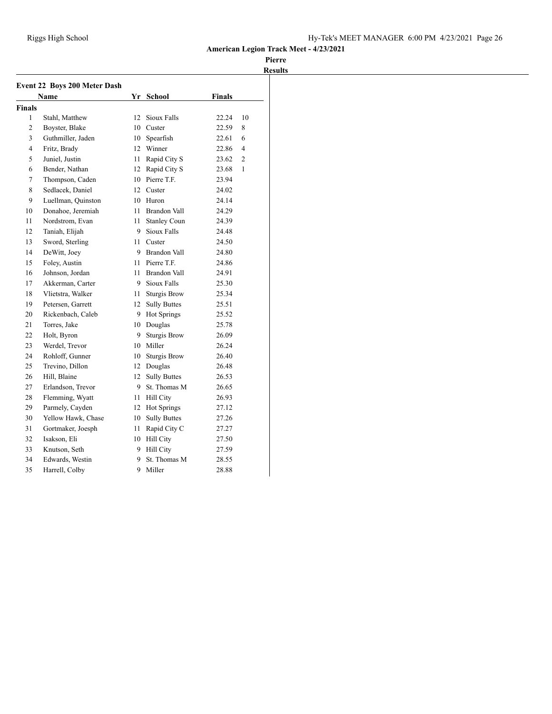|               | <b>Event 22 Boys 200 Meter Dash</b> |         |                     |        |                |
|---------------|-------------------------------------|---------|---------------------|--------|----------------|
|               | Name                                |         | Yr School           | Finals |                |
| <b>Finals</b> |                                     |         |                     |        |                |
| 1             | Stahl, Matthew                      | 12      | Sioux Falls         | 22.24  | 10             |
| 2             | Boyster, Blake                      | 10.     | Custer              | 22.59  | 8              |
| 3             | Guthmiller, Jaden                   | 10      | Spearfish           | 22.61  | 6              |
| 4             | Fritz, Brady                        | 12      | Winner              | 22.86  | 4              |
| 5             | Juniel. Justin                      | 11      | Rapid City S        | 23.62  | $\overline{c}$ |
| 6             | Bender, Nathan                      |         | 12 Rapid City S     | 23.68  | 1              |
| 7             | Thompson, Caden                     |         | 10 Pierre T.F.      | 23.94  |                |
| 8             | Sedlacek, Daniel                    |         | 12 Custer           | 24.02  |                |
| 9             | Luellman, Quinston                  |         | 10 Huron            | 24.14  |                |
| 10            | Donahoe, Jeremiah                   | 11      | Brandon Vall        | 24.29  |                |
| 11            | Nordstrom, Evan                     | 11      | <b>Stanley Coun</b> | 24.39  |                |
| 12            | Taniah, Elijah                      | 9       | Sioux Falls         | 24.48  |                |
| 13            | Sword, Sterling                     | 11      | Custer              | 24.50  |                |
| 14            | DeWitt, Joey                        | 9.      | <b>Brandon Vall</b> | 24.80  |                |
| 15            | Foley, Austin                       | 11.     | Pierre T.F.         | 24.86  |                |
| 16            | Johnson. Jordan                     | 11      | Brandon Vall        | 24.91  |                |
| 17            | Akkerman, Carter                    | 9       | Sioux Falls         | 25.30  |                |
| 18            | Vlietstra, Walker                   | 11 -    | <b>Sturgis Brow</b> | 25.34  |                |
| 19            | Petersen, Garrett                   | $12-12$ | <b>Sully Buttes</b> | 25.51  |                |
| 20            | Rickenbach, Caleb                   | 9.      | Hot Springs         | 25.52  |                |
| 21            | Torres, Jake                        |         | 10 Douglas          | 25.78  |                |
| 22            | Holt, Byron                         | 9.      | <b>Sturgis Brow</b> | 26.09  |                |
| 23            | Werdel, Trevor                      |         | 10 Miller           | 26.24  |                |
| 24            | Rohloff, Gunner                     | 10      | <b>Sturgis Brow</b> | 26.40  |                |
| 25            | Trevino. Dillon                     |         | 12 Douglas          | 26.48  |                |
| 26            | Hill, Blaine                        | 12      | <b>Sully Buttes</b> | 26.53  |                |
| 27            | Erlandson, Trevor                   | 9       | St. Thomas M        | 26.65  |                |
| 28            | Flemming, Wyatt                     | 11      | Hill City           | 26.93  |                |
| 29            | Parmely, Cayden                     | 12      | Hot Springs         | 27.12  |                |
| 30            | Yellow Hawk, Chase                  | 10      | <b>Sully Buttes</b> | 27.26  |                |
| 31            | Gortmaker, Joesph                   | 11      | Rapid City C        | 27.27  |                |
| 32            | Isakson, Eli                        | 10      | Hill City           | 27.50  |                |
| 33            | Knutson, Seth                       | 9       | <b>Hill City</b>    | 27.59  |                |
| 34            | Edwards, Westin                     | 9.      | St. Thomas M        | 28.55  |                |
| 35            | Harrell, Colby                      | 9       | Miller              | 28.88  |                |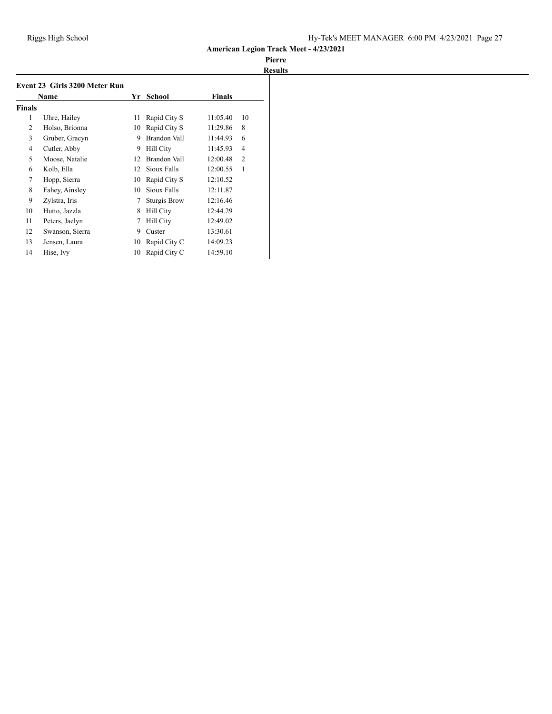|               | <b>Name</b>     | Yr | School              | <b>Finals</b> |                |
|---------------|-----------------|----|---------------------|---------------|----------------|
| <b>Finals</b> |                 |    |                     |               |                |
| 1             | Uhre, Hailey    | 11 | Rapid City S        | 11:05.40      | 10             |
| 2             | Holso, Brionna  | 10 | Rapid City S        | 11:29.86      | 8              |
| 3             | Gruber, Gracyn  | 9  | Brandon Vall        | 11:44.93      | 6              |
| 4             | Cutler, Abby    | 9  | Hill City           | 11:45.93      | 4              |
| 5             | Moose, Natalie  | 12 | Brandon Vall        | 12:00.48      | $\overline{2}$ |
| 6             | Kolb, Ella      | 12 | Sioux Falls         | 12:00.55      | 1              |
| 7             | Hopp, Sierra    | 10 | Rapid City S        | 12:10.52      |                |
| 8             | Fahey, Ainsley  | 10 | Sioux Falls         | 12:11.87      |                |
| 9             | Zylstra, Iris   | 7  | <b>Sturgis Brow</b> | 12:16.46      |                |
| 10            | Hutto, Jazzla   | 8  | Hill City           | 12:44.29      |                |
| 11            | Peters, Jaelyn  | 7  | Hill City           | 12:49.02      |                |
| 12            | Swanson, Sierra | 9  | Custer              | 13:30.61      |                |
| 13            | Jensen, Laura   | 10 | Rapid City C        | 14:09.23      |                |
| 14            | Hise, Ivy       | 10 | Rapid City C        | 14:59.10      |                |
|               |                 |    |                     |               |                |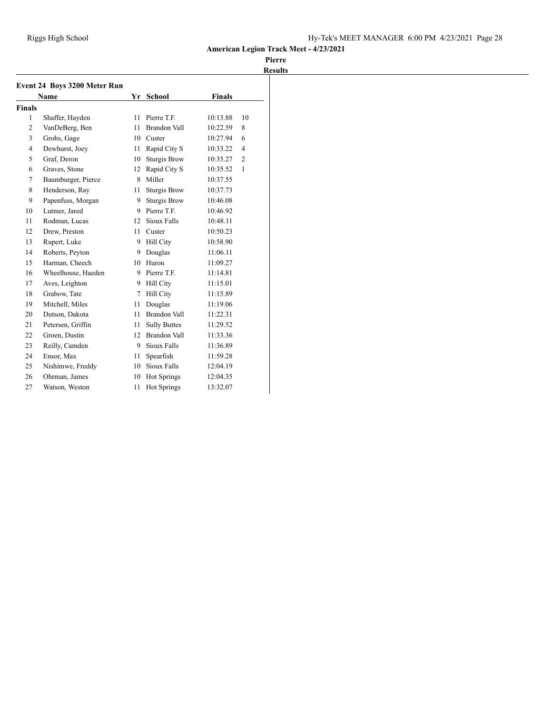|                | Event 24 Boys 3200 Meter Run |    |                     |               |                |
|----------------|------------------------------|----|---------------------|---------------|----------------|
|                | <b>Name</b>                  |    | Yr School           | <b>Finals</b> |                |
| <b>Finals</b>  |                              |    |                     |               |                |
| $\mathbf{1}$   | Shaffer, Hayden              | 11 | Pierre T.F.         | 10:13.88      | 10             |
| $\overline{c}$ | VanDeBerg, Ben               | 11 | <b>Brandon Vall</b> | 10:22.59      | 8              |
| 3              | Grohs, Gage                  | 10 | Custer              | 10:27.94      | 6              |
| $\overline{4}$ | Dewhurst, Joey               | 11 | Rapid City S        | 10:33.22      | $\overline{4}$ |
| 5              | Graf, Deron                  | 10 | <b>Sturgis Brow</b> | 10:35.27      | $\overline{c}$ |
| 6              | Graves, Stone                | 12 | Rapid City S        | 10:35.52      | 1              |
| 7              | Baumburger, Pierce           | 8  | Miller              | 10:37.55      |                |
| 8              | Henderson, Ray               | 11 | <b>Sturgis Brow</b> | 10:37.73      |                |
| 9              | Papenfuss, Morgan            | 9  | <b>Sturgis Brow</b> | 10:46.08      |                |
| 10             | Lutmer, Jared                | 9  | Pierre T.F.         | 10:46.92      |                |
| 11             | Rodman, Lucas                | 12 | Sioux Falls         | 10:48.11      |                |
| 12             | Drew, Preston                | 11 | Custer              | 10:50.23      |                |
| 13             | Rupert, Luke                 | 9  | Hill City           | 10:58.90      |                |
| 14             | Roberts, Peyton              | 9  | Douglas             | 11:06.11      |                |
| 15             | Harman, Cheech               | 10 | Huron               | 11:09.27      |                |
| 16             | Wheelhouse, Haeden           |    | 9 Pierre T.F.       | 11:14.81      |                |
| 17             | Aves, Leighton               | 9  | <b>Hill City</b>    | 11:15.01      |                |
| 18             | Grabow, Tate                 | 7  | Hill City           | 11:15.89      |                |
| 19             | Mitchell, Miles              | 11 | Douglas             | 11:19.06      |                |
| 20             | Dutson, Dakota               | 11 | <b>Brandon Vall</b> | 11:22.31      |                |
| 21             | Petersen, Griffin            | 11 | <b>Sully Buttes</b> | 11:29.52      |                |
| 22             | Groen, Dustin                | 12 | Brandon Vall        | 11:33.36      |                |
| 23             | Reilly, Camden               | 9  | Sioux Falls         | 11:36.89      |                |
| 24             | Ensor, Max                   | 11 | Spearfish           | 11:59.28      |                |
| 25             | Nishimwe, Freddy             | 10 | Sioux Falls         | 12:04.19      |                |
| 26             | Ohrman, James                | 10 | <b>Hot Springs</b>  | 12:04.35      |                |
| 27             | Watson, Weston               | 11 | <b>Hot Springs</b>  | 13:32.07      |                |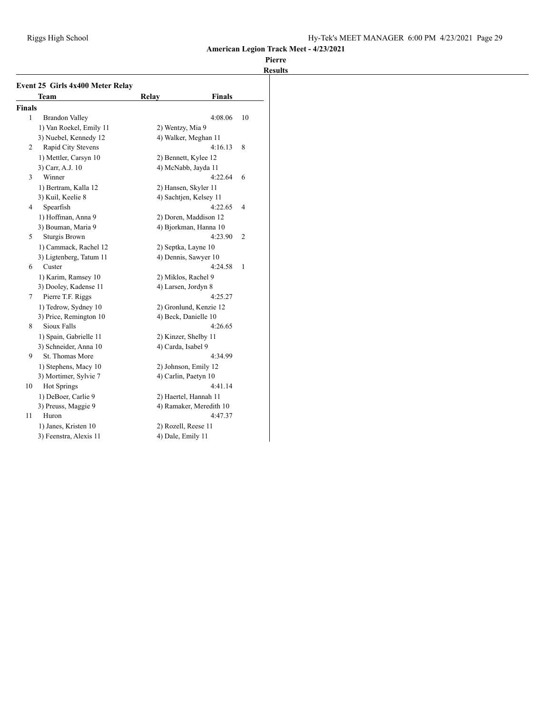| <b>Finals</b><br>$\mathbf{1}$<br><b>Brandon Valley</b><br>4:08.06<br>1) Van Roekel, Emily 11<br>2) Wentzy, Mia 9<br>4) Walker, Meghan 11<br>3) Nuebel, Kennedy 12<br>Rapid City Stevens<br>4:16.13<br>2<br>1) Mettler, Carsyn 10<br>2) Bennett, Kylee 12<br>3) Carr, A.J. 10<br>4) McNabb, Jayda 11<br>Winner<br>4:22.64<br>3 | 10<br>8 |
|-------------------------------------------------------------------------------------------------------------------------------------------------------------------------------------------------------------------------------------------------------------------------------------------------------------------------------|---------|
|                                                                                                                                                                                                                                                                                                                               |         |
|                                                                                                                                                                                                                                                                                                                               |         |
|                                                                                                                                                                                                                                                                                                                               |         |
|                                                                                                                                                                                                                                                                                                                               |         |
|                                                                                                                                                                                                                                                                                                                               |         |
|                                                                                                                                                                                                                                                                                                                               |         |
|                                                                                                                                                                                                                                                                                                                               |         |
|                                                                                                                                                                                                                                                                                                                               | 6       |
| 1) Bertram, Kalla 12<br>2) Hansen, Skyler 11                                                                                                                                                                                                                                                                                  |         |
| 3) Kuil, Keelie 8<br>4) Sachtjen, Kelsey 11                                                                                                                                                                                                                                                                                   |         |
| Spearfish<br>4:22.65<br>4                                                                                                                                                                                                                                                                                                     | 4       |
| 1) Hoffman, Anna 9<br>2) Doren, Maddison 12                                                                                                                                                                                                                                                                                   |         |
| 3) Bouman, Maria 9<br>4) Bjorkman, Hanna 10                                                                                                                                                                                                                                                                                   |         |
| Sturgis Brown<br>4:23.90<br>5                                                                                                                                                                                                                                                                                                 | 2       |
| 1) Cammack, Rachel 12<br>2) Septka, Layne 10                                                                                                                                                                                                                                                                                  |         |
| 3) Ligtenberg, Tatum 11<br>4) Dennis, Sawyer 10                                                                                                                                                                                                                                                                               |         |
| Custer<br>4:24.58<br>6                                                                                                                                                                                                                                                                                                        | 1       |
| 1) Karim, Ramsey 10<br>2) Miklos, Rachel 9                                                                                                                                                                                                                                                                                    |         |
| 3) Dooley, Kadense 11<br>4) Larsen, Jordyn 8                                                                                                                                                                                                                                                                                  |         |
| Pierre T.F. Riggs<br>4:25.27<br>7                                                                                                                                                                                                                                                                                             |         |
| 1) Tedrow, Sydney 10<br>2) Gronlund, Kenzie 12                                                                                                                                                                                                                                                                                |         |
| 3) Price, Remington 10<br>4) Beck, Danielle 10                                                                                                                                                                                                                                                                                |         |
| Sioux Falls<br>4:26.65<br>8                                                                                                                                                                                                                                                                                                   |         |
| 1) Spain, Gabrielle 11<br>2) Kinzer, Shelby 11                                                                                                                                                                                                                                                                                |         |
| 3) Schneider, Anna 10<br>4) Carda, Isabel 9                                                                                                                                                                                                                                                                                   |         |
| St. Thomas More<br>9<br>4:34.99                                                                                                                                                                                                                                                                                               |         |
| 1) Stephens, Macy 10<br>2) Johnson, Emily 12                                                                                                                                                                                                                                                                                  |         |
| 4) Carlin, Paetyn 10<br>3) Mortimer, Sylvie 7                                                                                                                                                                                                                                                                                 |         |
| Hot Springs<br>4:41.14<br>10                                                                                                                                                                                                                                                                                                  |         |
| 1) DeBoer, Carlie 9<br>2) Haertel, Hannah 11                                                                                                                                                                                                                                                                                  |         |
| 3) Preuss, Maggie 9<br>4) Ramaker, Meredith 10                                                                                                                                                                                                                                                                                |         |
| Huron<br>4:47.37<br>11                                                                                                                                                                                                                                                                                                        |         |
| 1) Janes, Kristen 10<br>2) Rozell, Reese 11                                                                                                                                                                                                                                                                                   |         |
| 3) Feenstra, Alexis 11<br>4) Dale, Emily 11                                                                                                                                                                                                                                                                                   |         |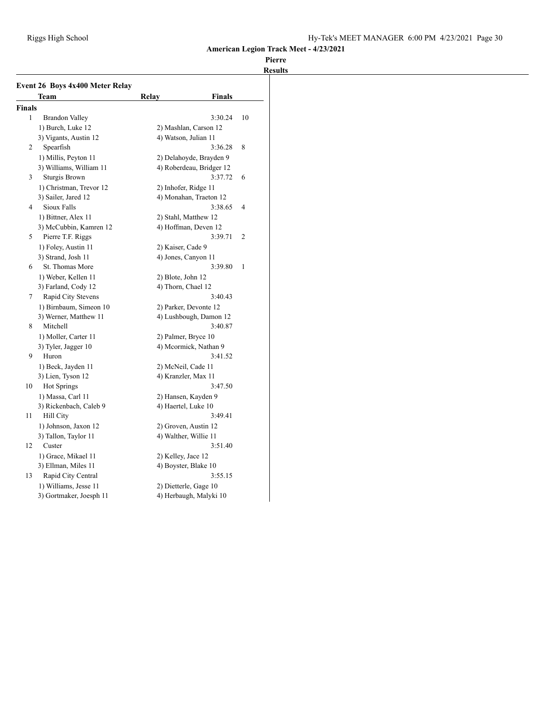|                | Event 26 Boys 4x400 Meter Relay<br>Team | Relay              | <b>Finals</b>                                  |                |
|----------------|-----------------------------------------|--------------------|------------------------------------------------|----------------|
| <b>Finals</b>  |                                         |                    |                                                |                |
| 1              | Brandon Valley                          |                    | 3:30.24                                        | 10             |
|                | 1) Burch, Luke 12                       |                    | 2) Mashlan, Carson 12                          |                |
|                | 3) Vigants, Austin 12                   |                    | 4) Watson, Julian 11                           |                |
| $\overline{2}$ | Spearfish                               |                    | 3:36.28                                        | 8              |
|                | 1) Millis, Peyton 11                    |                    | 2) Delahoyde, Brayden 9                        |                |
|                | 3) Williams, William 11                 |                    | 4) Roberdeau, Bridger 12                       |                |
| 3              | Sturgis Brown                           |                    | 3:37.72                                        | 6              |
|                | 1) Christman, Trevor 12                 |                    |                                                |                |
|                | 3) Sailer, Jared 12                     |                    | 2) Inhofer, Ridge 11<br>4) Monahan, Traeton 12 |                |
| 4              | Sioux Falls                             |                    |                                                |                |
|                |                                         |                    | 3:38.65                                        | 4              |
|                | 1) Bittner, Alex 11                     |                    | 2) Stahl, Matthew 12                           |                |
|                | 3) McCubbin, Kamren 12                  |                    | 4) Hoffman, Deven 12                           |                |
| 5              | Pierre T.F. Riggs                       |                    | 3:39.71                                        | $\overline{c}$ |
|                | 1) Foley, Austin 11                     | 2) Kaiser, Cade 9  |                                                |                |
|                | 3) Strand, Josh 11                      |                    | 4) Jones, Canyon 11                            |                |
| 6              | St. Thomas More                         |                    | 3:39.80                                        | 1              |
|                | 1) Weber, Kellen 11                     | 2) Blote, John 12  |                                                |                |
|                | 3) Farland, Cody 12                     | 4) Thorn, Chael 12 |                                                |                |
| 7              | Rapid City Stevens                      |                    | 3:40.43                                        |                |
|                | 1) Birnbaum, Simeon 10                  |                    | 2) Parker, Devonte 12                          |                |
|                | 3) Werner, Matthew 11                   |                    | 4) Lushbough, Damon 12                         |                |
| 8              | Mitchell                                |                    | 3:40.87                                        |                |
|                | 1) Moller, Carter 11                    |                    | 2) Palmer, Bryce 10                            |                |
|                | 3) Tyler, Jagger 10                     |                    | 4) Mcormick, Nathan 9                          |                |
| 9              | Huron                                   |                    | 3:41.52                                        |                |
|                | 1) Beck, Jayden 11                      |                    | 2) McNeil, Cade 11                             |                |
|                | 3) Lien, Tyson 12                       |                    | 4) Kranzler, Max 11                            |                |
| 10             | <b>Hot Springs</b>                      |                    | 3:47.50                                        |                |
|                | 1) Massa, Carl 11                       |                    | 2) Hansen, Kayden 9                            |                |
|                | 3) Rickenbach, Caleb 9                  |                    | 4) Haertel, Luke 10                            |                |
| 11             | Hill City                               |                    | 3:49.41                                        |                |
|                | 1) Johnson, Jaxon 12                    |                    | 2) Groven, Austin 12                           |                |
|                | 3) Tallon, Taylor 11                    |                    | 4) Walther, Willie 11                          |                |
| 12             | Custer                                  |                    | 3:51.40                                        |                |
|                | 1) Grace, Mikael 11                     | 2) Kelley, Jace 12 |                                                |                |
|                | 3) Ellman, Miles 11                     |                    | 4) Boyster, Blake 10                           |                |
| 13             | Rapid City Central                      |                    | 3:55.15                                        |                |
|                | 1) Williams, Jesse 11                   |                    | 2) Dietterle, Gage 10                          |                |
|                |                                         |                    |                                                |                |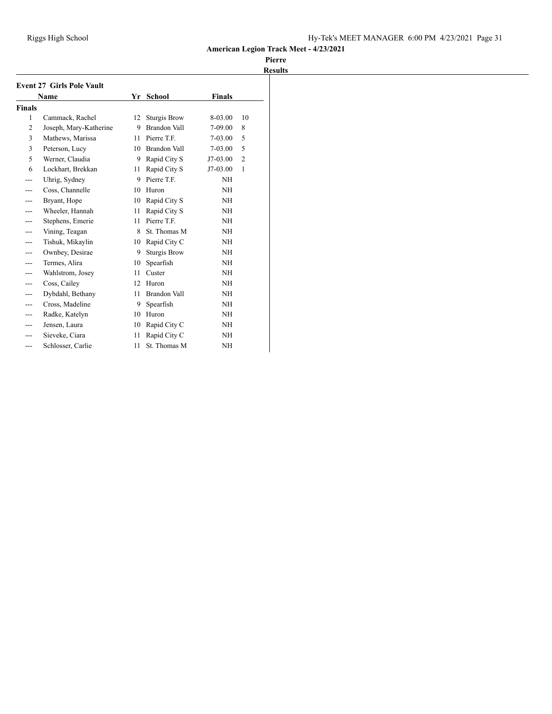|                | <b>Event 27 Girls Pole Vault</b> |    |                     |               |                |
|----------------|----------------------------------|----|---------------------|---------------|----------------|
|                | <b>Name</b>                      | Yr | <b>School</b>       | <b>Finals</b> |                |
| <b>Finals</b>  |                                  |    |                     |               |                |
| 1              | Cammack, Rachel                  | 12 | <b>Sturgis Brow</b> | 8-03.00       | 10             |
| $\overline{2}$ | Joseph, Mary-Katherine           | 9  | Brandon Vall        | 7-09.00       | 8              |
| 3              | Mathews, Marissa                 | 11 | Pierre T.F.         | 7-03.00       | 5              |
| 3              | Peterson, Lucy                   | 10 | Brandon Vall        | 7-03.00       | 5              |
| 5              | Werner, Claudia                  | 9  | Rapid City S        | J7-03.00      | $\overline{2}$ |
| 6              | Lockhart, Brekkan                | 11 | Rapid City S        | J7-03.00      | 1              |
|                | Uhrig, Sydney                    | 9  | Pierre T.F.         | NH            |                |
|                | Coss, Channelle                  | 10 | Huron               | NH            |                |
|                | Bryant, Hope                     | 10 | Rapid City S        | NH            |                |
|                | Wheeler, Hannah                  | 11 | Rapid City S        | NH            |                |
|                | Stephens, Emerie                 | 11 | Pierre T.F.         | NH            |                |
|                | Vining, Teagan                   | 8  | St. Thomas M        | <b>NH</b>     |                |
| ---            | Tishuk, Mikaylin                 | 10 | Rapid City C        | NH            |                |
|                | Ownbey, Desirae                  | 9  | <b>Sturgis Brow</b> | NH            |                |
| ---            | Termes, Alira                    | 10 | Spearfish           | NH            |                |
|                | Wahlstrom, Josey                 | 11 | Custer              | NH            |                |
|                | Coss, Cailey                     | 12 | Huron               | NH            |                |
|                | Dybdahl, Bethany                 | 11 | <b>Brandon Vall</b> | NH            |                |
|                | Cross, Madeline                  | 9  | Spearfish           | <b>NH</b>     |                |
|                | Radke, Katelyn                   | 10 | Huron               | NH            |                |
|                | Jensen, Laura                    | 10 | Rapid City C        | NΗ            |                |
|                | Sieveke, Ciara                   | 11 | Rapid City C        | NH            |                |
|                | Schlosser, Carlie                | 11 | St. Thomas M        | NH            |                |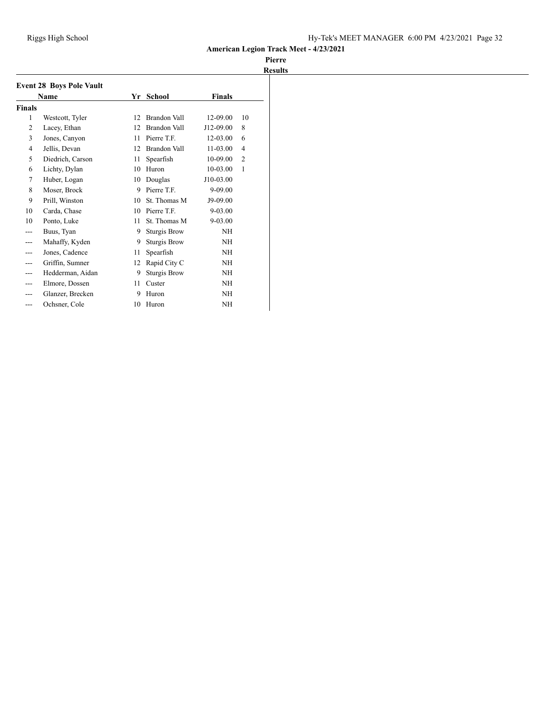|                | <b>Event 28 Boys Pole Vault</b> |    |                     |              |                |
|----------------|---------------------------------|----|---------------------|--------------|----------------|
|                | Name                            | Yr | School              | Finals       |                |
| <b>Finals</b>  |                                 |    |                     |              |                |
| 1              | Westcott, Tyler                 | 12 | Brandon Vall        | 12-09.00     | 10             |
| $\overline{2}$ | Lacey, Ethan                    | 12 | Brandon Vall        | J12-09.00    | 8              |
| 3              | Jones, Canyon                   | 11 | Pierre T.F.         | 12-03.00     | 6              |
| $\overline{4}$ | Jellis, Devan                   | 12 | Brandon Vall        | $11 - 03.00$ | 4              |
| 5              | Diedrich, Carson                | 11 | Spearfish           | 10-09.00     | $\overline{2}$ |
| 6              | Lichty, Dylan                   | 10 | Huron               | 10-03.00     | 1              |
| 7              | Huber, Logan                    | 10 | Douglas             | J10-03.00    |                |
| 8              | Moser, Brock                    | 9  | Pierre T.F.         | 9-09.00      |                |
| 9              | Prill, Winston                  | 10 | St. Thomas M        | J9-09.00     |                |
| 10             | Carda, Chase                    | 10 | Pierre T.F.         | $9 - 03.00$  |                |
| 10             | Ponto, Luke                     | 11 | St. Thomas M        | $9 - 03.00$  |                |
|                | Buus, Tyan                      | 9  | <b>Sturgis Brow</b> | <b>NH</b>    |                |
|                | Mahaffy, Kyden                  | 9  | <b>Sturgis Brow</b> | <b>NH</b>    |                |
| ---            | Jones, Cadence                  | 11 | Spearfish           | <b>NH</b>    |                |
| ---            | Griffin, Sumner                 | 12 | Rapid City C        | NH           |                |
| ---            | Hedderman, Aidan                | 9  | <b>Sturgis Brow</b> | NH           |                |
|                | Elmore, Dossen                  | 11 | Custer              | <b>NH</b>    |                |
|                | Glanzer, Brecken                | 9  | Huron               | NH           |                |
|                | Ochsner, Cole                   | 10 | Huron               | <b>NH</b>    |                |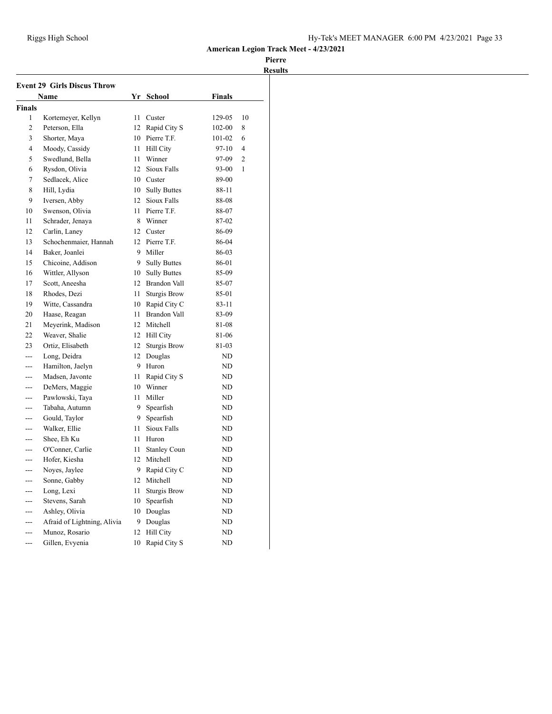| <b>Event 29 Girls Discus Throw</b> |                             |                  |                     |               |                |  |  |
|------------------------------------|-----------------------------|------------------|---------------------|---------------|----------------|--|--|
|                                    | <b>Name</b>                 | Yr               | <b>School</b>       | <b>Finals</b> |                |  |  |
| <b>Finals</b>                      |                             |                  |                     |               |                |  |  |
| 1                                  | Kortemeyer, Kellyn          | 11               | Custer              | 129-05        | 10             |  |  |
| $\overline{c}$                     | Peterson, Ella              | 12               | Rapid City S        | 102-00        | 8              |  |  |
| 3                                  | Shorter, Maya               | 10               | Pierre T.F.         | 101-02        | 6              |  |  |
| 4                                  | Moody, Cassidy              | 11               | <b>Hill City</b>    | 97-10         | 4              |  |  |
| 5                                  | Swedlund, Bella             | 11               | Winner              | 97-09         | $\overline{c}$ |  |  |
| 6                                  | Rysdon, Olivia              | 12               | Sioux Falls         | 93-00         | 1              |  |  |
| 7                                  | Sedlacek, Alice             |                  | 10 Custer           | 89-00         |                |  |  |
| 8                                  | Hill, Lydia                 |                  | 10 Sully Buttes     | 88-11         |                |  |  |
| 9                                  | Iversen, Abby               |                  | 12 Sioux Falls      | 88-08         |                |  |  |
| 10                                 | Swenson, Olivia             | 11 -             | Pierre T.F.         | 88-07         |                |  |  |
| 11                                 | Schrader, Jenaya            | 8                | Winner              | 87-02         |                |  |  |
| 12                                 | Carlin, Laney               | 12 <sup>12</sup> | Custer              | 86-09         |                |  |  |
| 13                                 | Schochenmaier, Hannah       | 12               | Pierre T.F.         | 86-04         |                |  |  |
| 14                                 | Baker, Joanlei              | 9.               | Miller              | 86-03         |                |  |  |
| 15                                 | Chicoine, Addison           | 9.               | <b>Sully Buttes</b> | 86-01         |                |  |  |
| 16                                 | Wittler, Allyson            | 10               | <b>Sully Buttes</b> | 85-09         |                |  |  |
| 17                                 | Scott, Aneesha              | 12               | <b>Brandon Vall</b> | 85-07         |                |  |  |
| 18                                 | Rhodes, Dezi                | 11               | <b>Sturgis Brow</b> | 85-01         |                |  |  |
| 19                                 | Witte, Cassandra            | 10               | Rapid City C        | 83-11         |                |  |  |
| 20                                 | Haase, Reagan               | 11               | <b>Brandon Vall</b> | 83-09         |                |  |  |
| 21                                 | Meyerink, Madison           |                  | 12 Mitchell         | 81-08         |                |  |  |
| 22                                 | Weaver, Shalie              |                  | 12 Hill City        | 81-06         |                |  |  |
| 23                                 | Ortiz, Elisabeth            | 12               | <b>Sturgis Brow</b> | 81-03         |                |  |  |
| $---$                              | Long, Deidra                | 12               | Douglas             | ND            |                |  |  |
| ---                                | Hamilton, Jaelyn            | 9.               | Huron               | ND            |                |  |  |
| $---$                              | Madsen, Javonte             | 11               | Rapid City S        | ND            |                |  |  |
| ---                                | DeMers, Maggie              | 10               | Winner              | ND            |                |  |  |
| ---                                | Pawlowski, Taya             | 11               | Miller              | ND            |                |  |  |
| ---                                | Tabaha, Autumn              | 9.               | Spearfish           | ND            |                |  |  |
| ---                                | Gould, Taylor               | 9.               | Spearfish           | ND            |                |  |  |
| ---                                | Walker, Ellie               | 11               | Sioux Falls         | ND            |                |  |  |
| $- - -$                            | Shee, Eh Ku                 | 11               | Huron               | ND            |                |  |  |
| ---                                | O'Conner, Carlie            | 11               | <b>Stanley Coun</b> | ND            |                |  |  |
|                                    | Hofer, Kiesha               | 12               | Mitchell            | ND            |                |  |  |
| ---                                | Noves, Jaylee               | 9                | Rapid City C        | ND            |                |  |  |
|                                    | Sonne, Gabby                | 12               | Mitchell            | ND            |                |  |  |
| ---                                | Long, Lexi                  | 11               | <b>Sturgis Brow</b> | ND            |                |  |  |
| ---                                | Stevens, Sarah              | 10               | Spearfish           | ND            |                |  |  |
|                                    | Ashley, Olivia              | 10               | Douglas             | ND            |                |  |  |
|                                    | Afraid of Lightning, Alivia | 9.               | Douglas             | ND            |                |  |  |
| ---                                | Munoz, Rosario              | 12               | Hill City           | ND            |                |  |  |
| ---                                | Gillen, Evyenia             | 10               | Rapid City S        | ND            |                |  |  |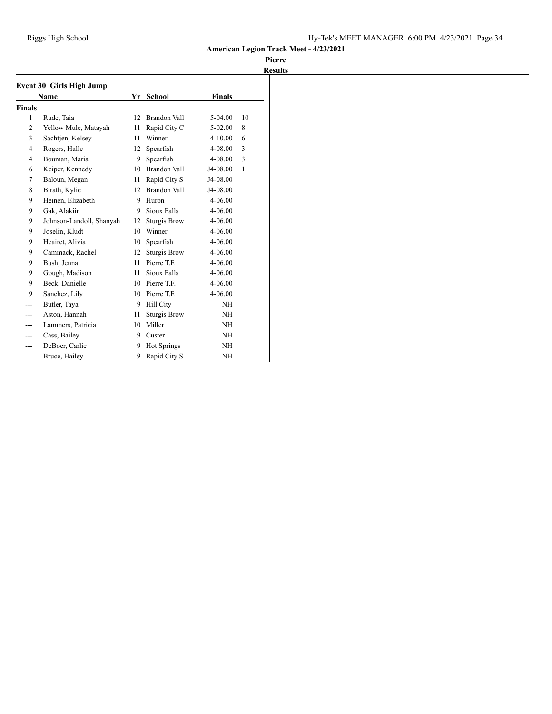| <b>Event 30 Girls High Jump</b> |                          |    |                     |               |              |  |  |  |
|---------------------------------|--------------------------|----|---------------------|---------------|--------------|--|--|--|
|                                 | <b>Name</b>              | Yr | <b>School</b>       | <b>Finals</b> |              |  |  |  |
| Finals                          |                          |    |                     |               |              |  |  |  |
| 1                               | Rude, Taia               | 12 | Brandon Vall        | 5-04.00       | 10           |  |  |  |
| $\overline{2}$                  | Yellow Mule, Matayah     | 11 | Rapid City C        | $5-02.00$     | 8            |  |  |  |
| 3                               | Sachtjen, Kelsey         | 11 | Winner              | $4 - 10.00$   | 6            |  |  |  |
| $\overline{4}$                  | Rogers, Halle            | 12 | Spearfish           | 4-08.00       | 3            |  |  |  |
| $\overline{4}$                  | Bouman, Maria            | 9  | Spearfish           | 4-08.00       | 3            |  |  |  |
| 6                               | Keiper, Kennedy          | 10 | <b>Brandon Vall</b> | J4-08.00      | $\mathbf{1}$ |  |  |  |
| 7                               | Baloun, Megan            | 11 | Rapid City S        | J4-08.00      |              |  |  |  |
| 8                               | Birath, Kylie            | 12 | <b>Brandon Vall</b> | J4-08.00      |              |  |  |  |
| 9                               | Heinen, Elizabeth        | 9  | Huron               | $4 - 06.00$   |              |  |  |  |
| 9                               | Gak, Alakiir             | 9  | Sioux Falls         | 4-06.00       |              |  |  |  |
| 9                               | Johnson-Landoll, Shanyah | 12 | <b>Sturgis Brow</b> | 4-06.00       |              |  |  |  |
| 9                               | Joselin, Kludt           | 10 | Winner              | $4 - 06.00$   |              |  |  |  |
| 9                               | Heairet, Alivia          | 10 | Spearfish           | 4-06.00       |              |  |  |  |
| 9                               | Cammack, Rachel          | 12 | <b>Sturgis Brow</b> | $4 - 06.00$   |              |  |  |  |
| 9                               | Bush, Jenna              | 11 | Pierre T.F.         | $4 - 06.00$   |              |  |  |  |
| 9                               | Gough, Madison           | 11 | Sioux Falls         | 4-06.00       |              |  |  |  |
| 9                               | Beck, Danielle           | 10 | Pierre T.F.         | $4 - 06.00$   |              |  |  |  |
| 9                               | Sanchez, Lily            | 10 | Pierre T.F.         | 4-06.00       |              |  |  |  |
|                                 | Butler, Taya             | 9  | <b>Hill City</b>    | NH            |              |  |  |  |
|                                 | Aston, Hannah            | 11 | <b>Sturgis Brow</b> | NH            |              |  |  |  |
| ---                             | Lammers, Patricia        | 10 | Miller              | NH            |              |  |  |  |
| ---                             | Cass, Bailey             | 9  | Custer              | <b>NH</b>     |              |  |  |  |
|                                 | DeBoer, Carlie           | 9  | <b>Hot Springs</b>  | <b>NH</b>     |              |  |  |  |
| ---                             | Bruce, Hailey            | 9  | Rapid City S        | NH            |              |  |  |  |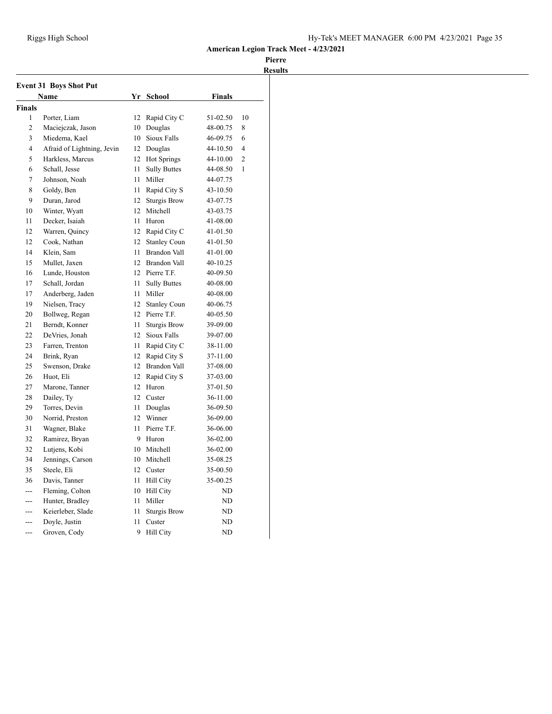| <b>Event 31 Boys Shot Put</b><br>Name |                            |              | Yr School           | <b>Finals</b> |                |
|---------------------------------------|----------------------------|--------------|---------------------|---------------|----------------|
| Finals                                |                            |              |                     |               |                |
| 1                                     | Porter, Liam               | 12           | Rapid City C        | 51-02.50      | 10             |
| 2                                     | Maciejczak, Jason          | 10           | Douglas             | 48-00.75      | 8              |
| 3                                     | Miedema, Kael              | 10           | Sioux Falls         | 46-09.75      | 6              |
| $\overline{4}$                        | Afraid of Lightning, Jevin |              | 12 Douglas          | 44-10.50      | 4              |
| 5                                     | Harkless, Marcus           | 12           | <b>Hot Springs</b>  | 44-10.00      | $\overline{c}$ |
| 6                                     | Schall, Jesse              | 11           | <b>Sully Buttes</b> | 44-08.50      | $\mathbf{1}$   |
| 7                                     | Johnson, Noah              | 11           | Miller              | 44-07.75      |                |
| 8                                     | Goldy, Ben                 | 11           | Rapid City S        | 43-10.50      |                |
| 9                                     | Duran, Jarod               | 12           | <b>Sturgis Brow</b> | 43-07.75      |                |
| 10                                    | Winter, Wyatt              | 12           | Mitchell            | 43-03.75      |                |
| 11                                    | Decker, Isaiah             | 11           | Huron               | 41-08.00      |                |
| 12                                    | Warren, Quincy             |              | 12 Rapid City C     | 41-01.50      |                |
| 12                                    | Cook, Nathan               | 12           | <b>Stanley Coun</b> | 41-01.50      |                |
| 14                                    | Klein, Sam                 | 11           | <b>Brandon Vall</b> | 41-01.00      |                |
| 15                                    | Mullet, Jaxen              | 12           | Brandon Vall        | 40-10.25      |                |
| 16                                    | Lunde, Houston             |              | 12 Pierre T.F.      | 40-09.50      |                |
| 17                                    | Schall, Jordan             | 11           | <b>Sully Buttes</b> | 40-08.00      |                |
| 17                                    | Anderberg, Jaden           | 11           | Miller              | 40-08.00      |                |
| 19                                    | Nielsen, Tracy             | 12           | <b>Stanley Coun</b> | 40-06.75      |                |
| 20                                    | Bollweg, Regan             | 12           | Pierre T.F.         | 40-05.50      |                |
| 21                                    | Berndt, Konner             | 11           | <b>Sturgis Brow</b> | 39-09.00      |                |
| 22                                    | DeVries. Jonah             | 12           | Sioux Falls         | 39-07.00      |                |
| 23                                    | Farren, Trenton            | 11           | Rapid City C        | 38-11.00      |                |
| 24                                    | Brink, Ryan                |              | 12 Rapid City S     | 37-11.00      |                |
| 25                                    | Swenson, Drake             | 12           | <b>Brandon Vall</b> | 37-08.00      |                |
| 26                                    | Huot. Eli                  | 12           | Rapid City S        | 37-03.00      |                |
| 27                                    | Marone, Tanner             | 12           | Huron               | 37-01.50      |                |
| 28                                    | Dailey, Ty                 | 12           | Custer              | 36-11.00      |                |
| 29                                    | Torres, Devin              | 11           | Douglas             | 36-09.50      |                |
| 30                                    | Norrid, Preston            | $12^{\circ}$ | Winner              | 36-09.00      |                |
| 31                                    | Wagner, Blake              | 11           | Pierre T.F.         | 36-06.00      |                |
| 32                                    | Ramirez, Bryan             | 9            | Huron               | 36-02.00      |                |
| 32                                    | Lutjens, Kobi              |              | 10 Mitchell         | 36-02.00      |                |
| 34                                    | Jennings, Carson           | 10           | Mitchell            | 35-08.25      |                |
| 35                                    | Steele, Eli                |              | 12 Custer           | 35-00.50      |                |
| 36                                    | Davis, Tanner              | 11           | <b>Hill City</b>    | 35-00.25      |                |
| ---                                   | Fleming, Colton            | 10           | <b>Hill City</b>    | ND            |                |
| $- - -$                               | Hunter, Bradley            | 11           | Miller              | ND            |                |
| $---$                                 | Keierleber, Slade          | 11           | <b>Sturgis Brow</b> | ND            |                |
| $---$                                 | Doyle, Justin              | 11           | Custer              | ND            |                |
| $-$ -                                 | Groven, Cody               | 9            | <b>Hill City</b>    | ND            |                |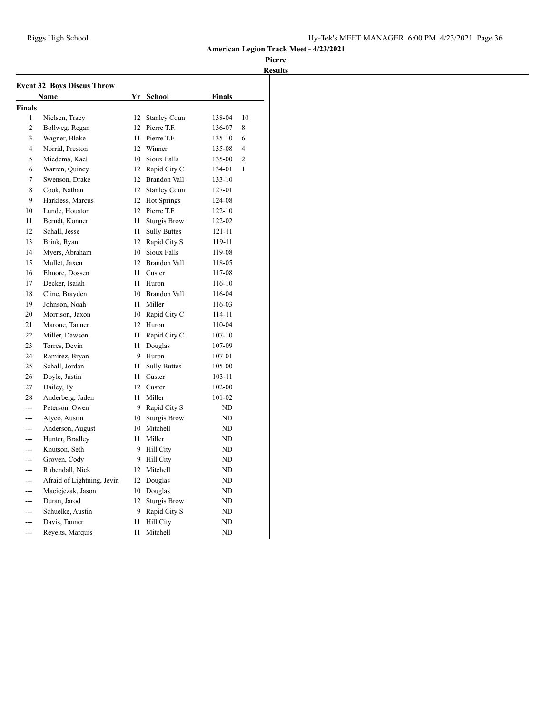| <b>Event 32 Boys Discus Throw</b> |                            |    |                     |               |                |  |  |
|-----------------------------------|----------------------------|----|---------------------|---------------|----------------|--|--|
|                                   | Name                       |    | Yr School           | <b>Finals</b> |                |  |  |
| <b>Finals</b>                     |                            |    |                     |               |                |  |  |
| 1                                 | Nielsen, Tracy             | 12 | <b>Stanley Coun</b> | 138-04        | 10             |  |  |
| $\overline{2}$                    | Bollweg, Regan             | 12 | Pierre T.F.         | 136-07        | 8              |  |  |
| 3                                 | Wagner, Blake              | 11 | Pierre T.F.         | 135-10        | 6              |  |  |
| $\overline{4}$                    | Norrid, Preston            | 12 | Winner              | 135-08        | 4              |  |  |
| 5                                 | Miedema, Kael              | 10 | Sioux Falls         | 135-00        | $\overline{c}$ |  |  |
| 6                                 | Warren, Quincy             | 12 | Rapid City C        | 134-01        | 1              |  |  |
| 7                                 | Swenson, Drake             | 12 | Brandon Vall        | 133-10        |                |  |  |
| 8                                 | Cook, Nathan               | 12 | <b>Stanley Coun</b> | 127-01        |                |  |  |
| 9                                 | Harkless, Marcus           | 12 | Hot Springs         | 124-08        |                |  |  |
| 10                                | Lunde, Houston             |    | 12 Pierre T.F.      | $122 - 10$    |                |  |  |
| 11                                | Berndt, Konner             | 11 | <b>Sturgis Brow</b> | 122-02        |                |  |  |
| 12                                | Schall, Jesse              | 11 | <b>Sully Buttes</b> | 121-11        |                |  |  |
| 13                                | Brink, Ryan                | 12 | Rapid City S        | 119-11        |                |  |  |
| 14                                | Myers, Abraham             | 10 | Sioux Falls         | 119-08        |                |  |  |
| 15                                | Mullet, Jaxen              | 12 | Brandon Vall        | 118-05        |                |  |  |
| 16                                | Elmore, Dossen             | 11 | Custer              | 117-08        |                |  |  |
| 17                                | Decker, Isaiah             | 11 | Huron               | 116-10        |                |  |  |
| 18                                | Cline, Brayden             |    | 10 Brandon Vall     | 116-04        |                |  |  |
| 19                                | Johnson, Noah              | 11 | Miller              | 116-03        |                |  |  |
| 20                                | Morrison, Jaxon            |    | 10 Rapid City C     | 114-11        |                |  |  |
| 21                                | Marone, Tanner             | 12 | Huron               | 110-04        |                |  |  |
| 22                                | Miller, Dawson             | 11 | Rapid City C        | $107 - 10$    |                |  |  |
| 23                                | Torres, Devin              | 11 | Douglas             | 107-09        |                |  |  |
| 24                                | Ramirez, Bryan             | 9  | Huron               | 107-01        |                |  |  |
| 25                                | Schall, Jordan             | 11 | <b>Sully Buttes</b> | 105-00        |                |  |  |
| 26                                | Doyle, Justin              | 11 | Custer              | 103-11        |                |  |  |
| 27                                | Dailey, Ty                 | 12 | Custer              | 102-00        |                |  |  |
| 28                                | Anderberg, Jaden           | 11 | Miller              | 101-02        |                |  |  |
| $- - -$                           | Peterson, Owen             | 9  | Rapid City S        | ND            |                |  |  |
| ---                               | Atyeo, Austin              |    | 10 Sturgis Brow     | ND            |                |  |  |
| ---                               | Anderson, August           | 10 | Mitchell            | ND            |                |  |  |
| ---                               | Hunter, Bradley            | 11 | Miller              | ND            |                |  |  |
| ---                               | Knutson, Seth              | 9  | Hill City           | ND            |                |  |  |
| ---                               | Groven, Cody               | 9  | <b>Hill City</b>    | ND            |                |  |  |
| ---                               | Rubendall, Nick            |    | 12 Mitchell         | ND            |                |  |  |
| ---                               | Afraid of Lightning, Jevin |    | 12 Douglas          | ND            |                |  |  |
| ---                               | Maciejczak, Jason          | 10 | Douglas             | ND            |                |  |  |
| $- - -$                           | Duran, Jarod               | 12 | <b>Sturgis Brow</b> | ND            |                |  |  |
| ---                               | Schuelke, Austin           | 9  | Rapid City S        | ND            |                |  |  |
| ---                               | Davis, Tanner              | 11 | <b>Hill City</b>    | ND            |                |  |  |
| $-$ -                             | Reyelts, Marquis           | 11 | Mitchell            | ND            |                |  |  |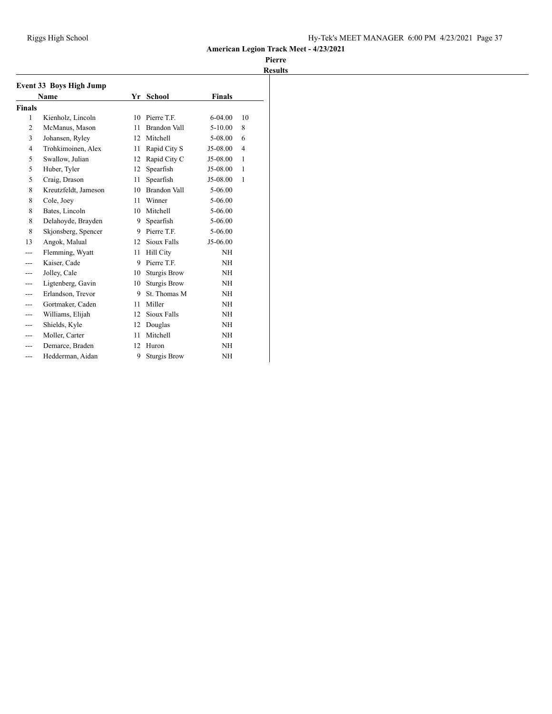|                | <b>Event 33 Boys High Jump</b> |    |                     |               |    |
|----------------|--------------------------------|----|---------------------|---------------|----|
|                | <b>Name</b>                    | Yr | <b>School</b>       | <b>Finals</b> |    |
| <b>Finals</b>  |                                |    |                     |               |    |
| $\mathbf{1}$   | Kienholz, Lincoln              | 10 | Pierre T.F.         | $6 - 04.00$   | 10 |
| 2              | McManus, Mason                 | 11 | <b>Brandon Vall</b> | $5 - 10.00$   | 8  |
| 3              | Johansen, Ryley                | 12 | Mitchell            | 5-08.00       | 6  |
| $\overline{4}$ | Trohkimoinen, Alex             | 11 | Rapid City S        | J5-08.00      | 4  |
| 5              | Swallow, Julian                | 12 | Rapid City C        | J5-08.00      | 1  |
| 5              | Huber, Tyler                   | 12 | Spearfish           | J5-08.00      | 1  |
| 5              | Craig, Drason                  | 11 | Spearfish           | J5-08.00      | 1  |
| 8              | Kreutzfeldt, Jameson           | 10 | <b>Brandon Vall</b> | 5-06.00       |    |
| 8              | Cole, Joey                     | 11 | Winner              | 5-06.00       |    |
| 8              | Bates, Lincoln                 | 10 | Mitchell            | 5-06.00       |    |
| 8              | Delahoyde, Brayden             | 9  | Spearfish           | 5-06.00       |    |
| 8              | Skjonsberg, Spencer            | 9  | Pierre T.F.         | 5-06.00       |    |
| 13             | Angok, Malual                  | 12 | Sioux Falls         | J5-06.00      |    |
| ---            | Flemming, Wyatt                | 11 | <b>Hill City</b>    | NH            |    |
|                | Kaiser, Cade                   | 9  | Pierre T.F.         | NH            |    |
|                | Jolley, Cale                   | 10 | <b>Sturgis Brow</b> | NH            |    |
|                | Ligtenberg, Gavin              | 10 | <b>Sturgis Brow</b> | <b>NH</b>     |    |
|                | Erlandson, Trevor              | 9  | St. Thomas M        | NH            |    |
| ---            | Gortmaker, Caden               | 11 | Miller              | NH            |    |
|                | Williams, Elijah               | 12 | Sioux Falls         | NH            |    |
|                | Shields, Kyle                  | 12 | Douglas             | NH            |    |
|                | Moller, Carter                 | 11 | Mitchell            | NH            |    |
|                | Demarce, Braden                | 12 | Huron               | NH            |    |
|                | Hedderman, Aidan               | 9  | <b>Sturgis Brow</b> | NH            |    |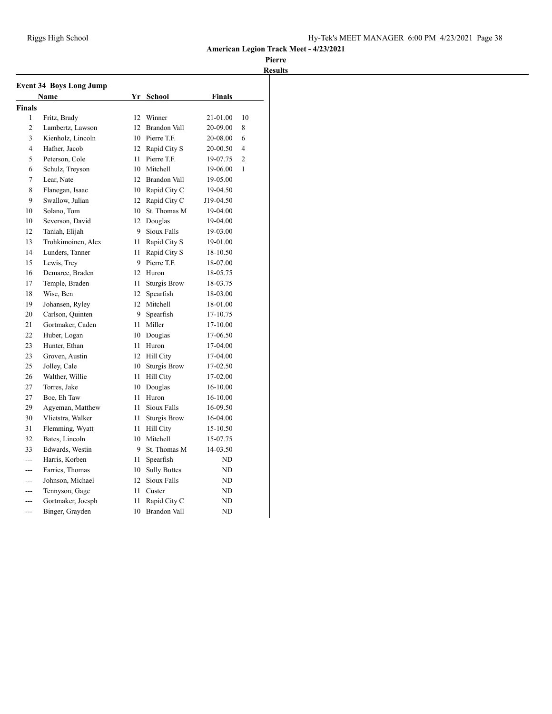| <b>Event 34 Boys Long Jump</b> |                    |              |                     |           |                |
|--------------------------------|--------------------|--------------|---------------------|-----------|----------------|
| Name                           |                    |              | Yr School           | Finals    |                |
| <b>Finals</b>                  |                    |              |                     |           |                |
| 1                              | Fritz, Brady       | 12           | Winner              | 21-01.00  | 10             |
| $\mathfrak{2}$                 | Lambertz, Lawson   | 12           | <b>Brandon Vall</b> | 20-09.00  | 8              |
| 3                              | Kienholz, Lincoln  |              | 10 Pierre T.F.      | 20-08.00  | 6              |
| 4                              | Hafner, Jacob      |              | 12 Rapid City S     | 20-00.50  | $\overline{4}$ |
| 5                              | Peterson, Cole     | 11           | Pierre T.F.         | 19-07.75  | $\overline{c}$ |
| 6                              | Schulz, Treyson    |              | 10 Mitchell         | 19-06.00  | 1              |
| 7                              | Lear, Nate         | 12           | <b>Brandon Vall</b> | 19-05.00  |                |
| 8                              | Flanegan, Isaac    |              | 10 Rapid City C     | 19-04.50  |                |
| 9                              | Swallow, Julian    |              | 12 Rapid City C     | J19-04.50 |                |
| 10                             | Solano, Tom        | 10           | St. Thomas M        | 19-04.00  |                |
| 10                             | Severson, David    | 12           | Douglas             | 19-04.00  |                |
| 12                             | Taniah, Elijah     | 9            | Sioux Falls         | 19-03.00  |                |
| 13                             | Trohkimoinen, Alex | 11           | Rapid City S        | 19-01.00  |                |
| 14                             | Lunders, Tanner    | 11           | Rapid City S        | 18-10.50  |                |
| 15                             | Lewis, Trey        | 9            | Pierre T.F.         | 18-07.00  |                |
| 16                             | Demarce, Braden    | $12^{\circ}$ | Huron               | 18-05.75  |                |
| 17                             | Temple, Braden     | 11           | <b>Sturgis Brow</b> | 18-03.75  |                |
| 18                             | Wise, Ben          | 12           | Spearfish           | 18-03.00  |                |
| 19                             | Johansen, Ryley    | 12           | Mitchell            | 18-01.00  |                |
| 20                             | Carlson, Quinten   | 9            | Spearfish           | 17-10.75  |                |
| 21                             | Gortmaker, Caden   | 11           | Miller              | 17-10.00  |                |
| 22                             | Huber, Logan       | 10           | Douglas             | 17-06.50  |                |
| 23                             | Hunter, Ethan      | 11           | Huron               | 17-04.00  |                |
| 23                             | Groven, Austin     |              | 12 Hill City        | 17-04.00  |                |
| 25                             | Jolley, Cale       | 10           | <b>Sturgis Brow</b> | 17-02.50  |                |
| 26                             | Walther, Willie    | 11           | <b>Hill City</b>    | 17-02.00  |                |
| 27                             | Torres, Jake       | 10           | Douglas             | 16-10.00  |                |
| 27                             | Boe, Eh Taw        | 11           | Huron               | 16-10.00  |                |
| 29                             | Agyeman, Matthew   | 11           | Sioux Falls         | 16-09.50  |                |
| 30                             | Vlietstra, Walker  | 11           | <b>Sturgis Brow</b> | 16-04.00  |                |
| 31                             | Flemming, Wyatt    | 11           | Hill City           | 15-10.50  |                |
| 32                             | Bates, Lincoln     | 10           | Mitchell            | 15-07.75  |                |
| 33                             | Edwards, Westin    | 9            | St. Thomas M        | 14-03.50  |                |
| $---$                          | Harris, Korben     | 11           | Spearfish           | ND        |                |
| ---                            | Farries, Thomas    | 10           | <b>Sully Buttes</b> | ND        |                |
| $---$                          | Johnson, Michael   | 12           | Sioux Falls         | ND        |                |
| ---                            | Tennyson, Gage     | 11           | Custer              | ND        |                |
| ---                            | Gortmaker, Joesph  | 11           | Rapid City C        | ND        |                |
| ---                            | Binger, Grayden    | 10           | <b>Brandon Vall</b> | ND        |                |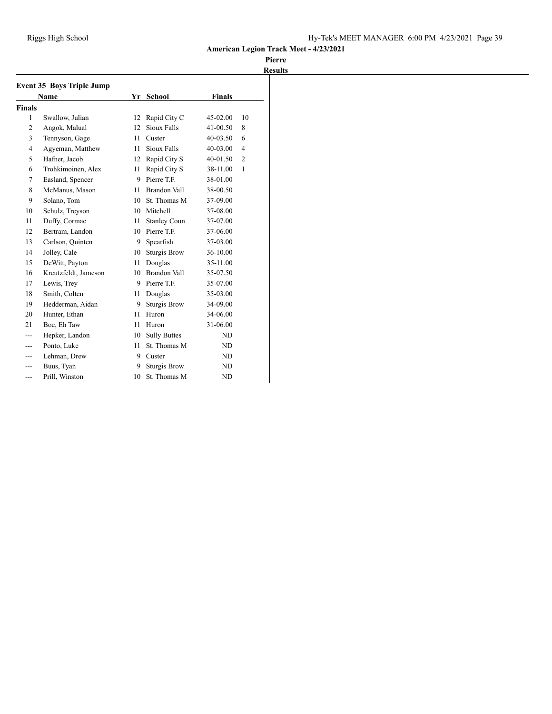|                | <b>Event 35 Boys Triple Jump</b><br><b>Name</b> | Yr<br><b>School</b> |                     | <b>Finals</b> |                |
|----------------|-------------------------------------------------|---------------------|---------------------|---------------|----------------|
| <b>Finals</b>  |                                                 |                     |                     |               |                |
| 1              | Swallow, Julian                                 | 12                  | Rapid City C        | 45-02.00      | 10             |
| 2              | Angok, Malual                                   | 12                  | Sioux Falls         | 41-00.50      | 8              |
| 3              | Tennyson, Gage                                  | 11                  | Custer              | $40 - 03.50$  | 6              |
| $\overline{4}$ | Agyeman, Matthew                                | 11                  | Sioux Falls         | 40-03.00      | $\overline{4}$ |
| 5              | Hafner, Jacob                                   | 12                  | Rapid City S        | 40-01.50      | $\overline{2}$ |
| 6              | Trohkimoinen, Alex                              | 11                  | Rapid City S        | 38-11.00      | $\mathbf{1}$   |
| 7              | Easland, Spencer                                | 9                   | Pierre T.F.         | 38-01.00      |                |
| 8              | McManus, Mason                                  | 11                  | Brandon Vall        | 38-00.50      |                |
| 9              | Solano, Tom                                     | 10                  | St. Thomas M        | 37-09.00      |                |
| 10             | Schulz, Treyson                                 | 10                  | Mitchell            | 37-08.00      |                |
| 11             | Duffy, Cormac                                   | 11                  | <b>Stanley Coun</b> | 37-07.00      |                |
| 12             | Bertram, Landon                                 | 10                  | Pierre T.F.         | 37-06.00      |                |
| 13             | Carlson, Quinten                                | 9                   | Spearfish           | 37-03.00      |                |
| 14             | Jolley, Cale                                    | 10                  | <b>Sturgis Brow</b> | 36-10.00      |                |
| 15             | DeWitt, Payton                                  | 11                  | Douglas             | 35-11.00      |                |
| 16             | Kreutzfeldt, Jameson                            | 10                  | <b>Brandon Vall</b> | 35-07.50      |                |
| 17             | Lewis, Trey                                     | 9                   | Pierre T.F.         | 35-07.00      |                |
| 18             | Smith, Colten                                   | 11                  | Douglas             | 35-03.00      |                |
| 19             | Hedderman, Aidan                                | 9                   | <b>Sturgis Brow</b> | 34-09.00      |                |
| 20             | Hunter, Ethan                                   | 11                  | Huron               | 34-06.00      |                |
| 21             | Boe, Eh Taw                                     | 11                  | Huron               | 31-06.00      |                |
|                | Hepker, Landon                                  | 10                  | <b>Sully Buttes</b> | ND            |                |
| ---            | Ponto, Luke                                     | 11                  | St. Thomas M        | ND            |                |
|                | Lehman, Drew                                    | 9                   | Custer              | ND            |                |
| ---            | Buus, Tyan                                      | 9                   | Sturgis Brow        | <b>ND</b>     |                |
| ---            | Prill, Winston                                  | 10                  | St. Thomas M        | <b>ND</b>     |                |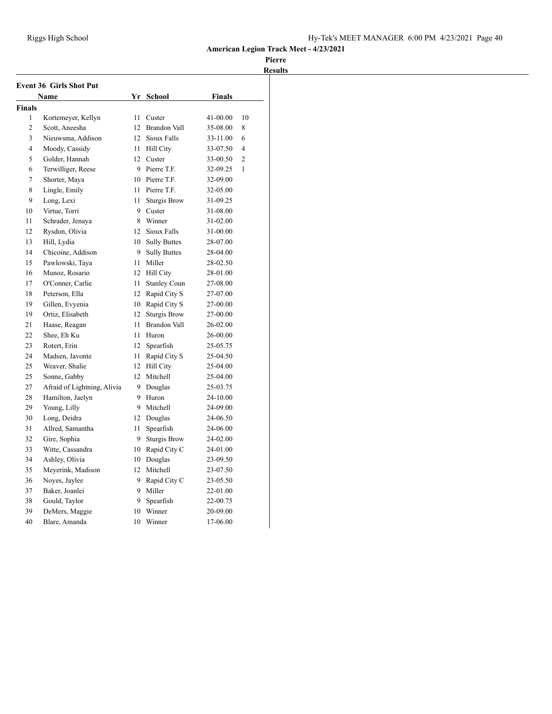| <b>Event 36 Girls Shot Put</b> |                             |              |                     |               |                |
|--------------------------------|-----------------------------|--------------|---------------------|---------------|----------------|
|                                | Name                        | Yr           | <b>School</b>       | <b>Finals</b> |                |
| Finals                         |                             |              |                     |               |                |
| 1                              | Kortemeyer, Kellyn          | 11           | Custer              | 41-00.00      | 10             |
| $\overline{c}$                 | Scott, Aneesha              | 12           | <b>Brandon Vall</b> | 35-08.00      | 8              |
| 3                              | Nieuwsma, Addison           |              | 12 Sioux Falls      | 33-11.00      | 6              |
| 4                              | Moody, Cassidy              | 11           | Hill City           | 33-07.50      | 4              |
| 5                              | Golder, Hannah              |              | 12 Custer           | 33-00.50      | $\overline{2}$ |
| 6                              | Terwilliger, Reese          | 9            | Pierre T.F.         | 32-09.25      | $\mathbf{1}$   |
| 7                              | Shorter, Maya               | 10           | Pierre T.F.         | 32-09.00      |                |
| 8                              | Lingle, Emily               | 11           | Pierre T.F.         | 32-05.00      |                |
| 9                              | Long, Lexi                  | 11           | <b>Sturgis Brow</b> | 31-09.25      |                |
| 10                             | Virtue, Torri               | 9            | Custer              | 31-08.00      |                |
| 11                             | Schrader, Jenaya            | 8            | Winner              | 31-02.00      |                |
| 12                             | Rysdon, Olivia              |              | 12 Sioux Falls      | 31-00.00      |                |
| 13                             | Hill, Lydia                 | 10           | <b>Sully Buttes</b> | 28-07.00      |                |
| 14                             | Chicoine, Addison           | 9            | <b>Sully Buttes</b> | 28-04.00      |                |
| 15                             | Pawlowski, Taya             | 11           | Miller              | 28-02.50      |                |
| 16                             | Munoz, Rosario              | 12           | <b>Hill City</b>    | 28-01.00      |                |
| 17                             | O'Conner, Carlie            | 11           | <b>Stanley Coun</b> | 27-08.00      |                |
| 18                             | Peterson, Ella              | $12^{\circ}$ | Rapid City S        | 27-07.00      |                |
| 19                             | Gillen, Evyenia             | 10           | Rapid City S        | 27-00.00      |                |
| 19                             | Ortiz, Elisabeth            | 12           | <b>Sturgis Brow</b> | 27-00.00      |                |
| 21                             | Haase, Reagan               | 11           | <b>Brandon Vall</b> | 26-02.00      |                |
| 22                             | Shee, Eh Ku                 | 11           | Huron               | 26-00.00      |                |
| 23                             | Rotert, Erin                | 12           | Spearfish           | 25-05.75      |                |
| 24                             | Madsen, Javonte             | 11           | Rapid City S        | 25-04.50      |                |
| 25                             | Weaver, Shalie              | 12           | Hill City           | 25-04.00      |                |
| 25                             | Sonne, Gabby                | 12           | Mitchell            | 25-04.00      |                |
| 27                             | Afraid of Lightning, Alivia | 9            | Douglas             | 25-03.75      |                |
| 28                             | Hamilton, Jaelyn            | 9            | Huron               | 24-10.00      |                |
| 29                             | Young, Lilly                | 9            | Mitchell            | 24-09.00      |                |
| 30                             | Long, Deidra                | 12           | Douglas             | 24-06.50      |                |
| 31                             | Allred, Samantha            | 11           | Spearfish           | 24-06.00      |                |
| 32                             | Gire, Sophia                | 9            | <b>Sturgis Brow</b> | 24-02.00      |                |
| 33                             | Witte, Cassandra            | 10           | Rapid City C        | 24-01.00      |                |
| 34                             | Ashley, Olivia              |              | 10 Douglas          | 23-09.50      |                |
| 35                             | Meyerink, Madison           | 12           | Mitchell            | 23-07.50      |                |
| 36                             | Noyes, Jaylee               | 9            | Rapid City C        | 23-05.50      |                |
| 37                             | Baker, Joanlei              | 9            | Miller              | 22-01.00      |                |
| 38                             | Gould, Taylor               | 9            | Spearfish           | 22-00.75      |                |
| 39                             | DeMers, Maggie              | 10           | Winner              | 20-09.00      |                |
| 40                             | Blare, Amanda               | 10           | Winner              | 17-06.00      |                |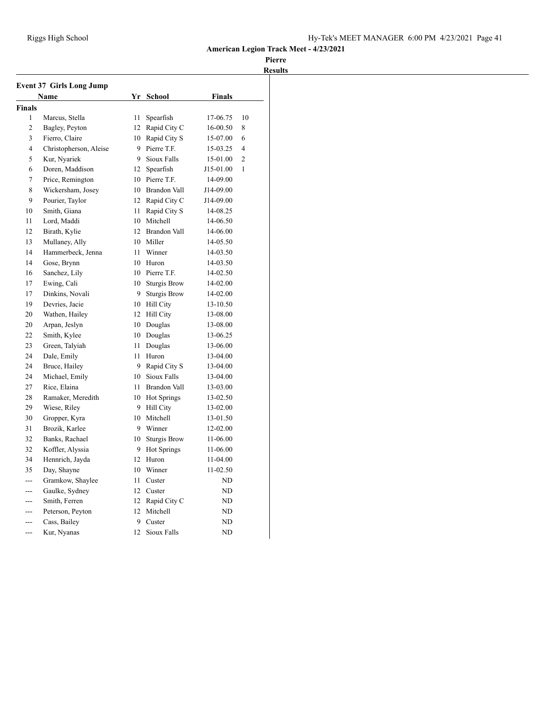|                          | <b>Event 37 Girls Long Jump</b><br>Name |    | Yr School           | <b>Finals</b> |                |
|--------------------------|-----------------------------------------|----|---------------------|---------------|----------------|
|                          |                                         |    |                     |               |                |
| <b>Finals</b><br>1       |                                         |    |                     |               |                |
|                          | Marcus, Stella                          | 11 | Spearfish           | 17-06.75      | 10             |
| $\overline{2}$           | Bagley, Peyton                          | 12 | Rapid City C        | 16-00.50      | 8              |
| 3                        | Fierro, Claire                          | 10 | Rapid City S        | 15-07.00      | 6              |
| $\overline{\mathcal{L}}$ | Christopherson, Aleise                  | 9  | Pierre T.F.         | 15-03.25      | $\overline{4}$ |
| 5                        | Kur, Nyariek                            | 9  | Sioux Falls         | 15-01.00      | $\overline{2}$ |
| 6                        | Doren, Maddison                         | 12 | Spearfish           | J15-01.00     | 1              |
| 7                        | Price, Remington                        | 10 | Pierre T.F.         | 14-09.00      |                |
| 8                        | Wickersham, Josey                       |    | 10 Brandon Vall     | J14-09.00     |                |
| 9                        | Pourier, Taylor                         | 12 | Rapid City C        | J14-09.00     |                |
| 10                       | Smith, Giana                            | 11 | Rapid City S        | 14-08.25      |                |
| 11                       | Lord, Maddi                             | 10 | Mitchell            | 14-06.50      |                |
| 12                       | Birath, Kylie                           | 12 | <b>Brandon Vall</b> | 14-06.00      |                |
| 13                       | Mullaney, Ally                          | 10 | Miller              | 14-05.50      |                |
| 14                       | Hammerbeck, Jenna                       | 11 | Winner              | 14-03.50      |                |
| 14                       | Gose, Brynn                             | 10 | Huron               | 14-03.50      |                |
| 16                       | Sanchez, Lily                           |    | 10 Pierre T.F.      | 14-02.50      |                |
| 17                       | Ewing, Cali                             | 10 | <b>Sturgis Brow</b> | 14-02.00      |                |
| 17                       | Dinkins, Novali                         | 9  | <b>Sturgis Brow</b> | 14-02.00      |                |
| 19                       | Devries, Jacie                          |    | 10 Hill City        | 13-10.50      |                |
| 20                       | Wathen, Hailey                          | 12 | <b>Hill City</b>    | 13-08.00      |                |
| 20                       | Arpan, Jeslyn                           | 10 | Douglas             | 13-08.00      |                |
| 22                       | Smith, Kylee                            |    | 10 Douglas          | 13-06.25      |                |
| 23                       | Green, Talyiah                          | 11 | Douglas             | 13-06.00      |                |
| 24                       | Dale, Emily                             | 11 | Huron               | 13-04.00      |                |
| 24                       | Bruce, Hailey                           | 9  | Rapid City S        | 13-04.00      |                |
| 24                       | Michael, Emily                          | 10 | Sioux Falls         | 13-04.00      |                |
| 27                       | Rice, Elaina                            | 11 | Brandon Vall        | 13-03.00      |                |
| 28                       | Ramaker, Meredith                       | 10 | Hot Springs         | 13-02.50      |                |
| 29                       | Wiese, Riley                            | 9  | Hill City           | 13-02.00      |                |
| 30                       | Gropper, Kyra                           |    | 10 Mitchell         | 13-01.50      |                |
| 31                       | Brozik, Karlee                          | 9  | Winner              | 12-02.00      |                |
| 32                       | Banks, Rachael                          | 10 | <b>Sturgis Brow</b> | 11-06.00      |                |
| 32                       | Koffler, Alyssia                        | 9  | <b>Hot Springs</b>  | 11-06.00      |                |
| 34                       | Hennrich, Jayda                         | 12 | Huron               | 11-04.00      |                |
| 35                       | Day, Shayne                             | 10 | Winner              | 11-02.50      |                |
| ---                      | Gramkow, Shaylee                        | 11 | Custer              | ND            |                |
| ---                      | Gaulke, Sydney                          | 12 | Custer              | ND            |                |
| ---                      | Smith, Ferren                           | 12 | Rapid City C        | ND            |                |
| $---$                    | Peterson, Peyton                        | 12 | Mitchell            | ND            |                |
| ---                      | Cass, Bailey                            | 9  | Custer              | ND            |                |
|                          | Kur, Nyanas                             | 12 | Sioux Falls         | ND            |                |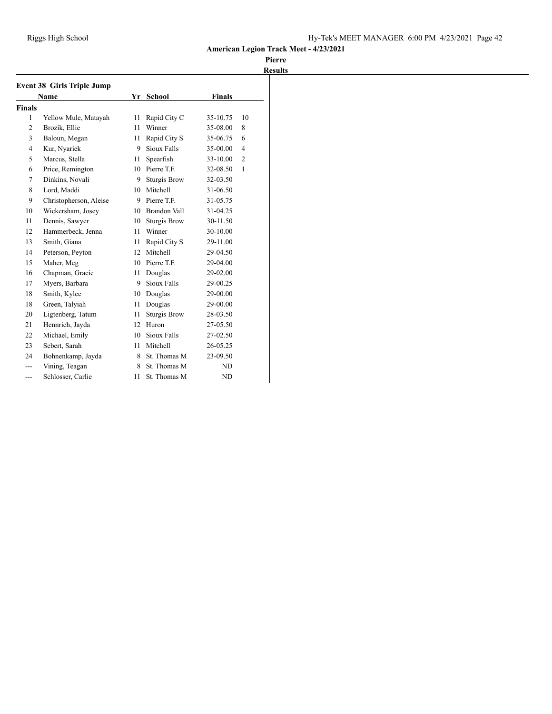| <b>Event 38 Girls Triple Jump</b><br><b>Finals</b><br>Name<br>Yr<br><b>School</b> |                        |    |                     |          |                |
|-----------------------------------------------------------------------------------|------------------------|----|---------------------|----------|----------------|
| Finals                                                                            |                        |    |                     |          |                |
| 1                                                                                 | Yellow Mule, Matayah   | 11 | Rapid City C        | 35-10.75 | 10             |
| $\overline{2}$                                                                    | Brozik, Ellie          | 11 | Winner              | 35-08.00 | 8              |
| 3                                                                                 | Baloun, Megan          | 11 | Rapid City S        | 35-06.75 | 6              |
| $\overline{4}$                                                                    | Kur, Nyariek           | 9  | Sioux Falls         | 35-00.00 | $\overline{4}$ |
| 5                                                                                 | Marcus, Stella         | 11 | Spearfish           | 33-10.00 | $\overline{c}$ |
| 6                                                                                 | Price, Remington       | 10 | Pierre T.F.         | 32-08.50 | 1              |
| 7                                                                                 | Dinkins, Novali        | 9  | <b>Sturgis Brow</b> | 32-03.50 |                |
| 8                                                                                 | Lord, Maddi            | 10 | Mitchell            | 31-06.50 |                |
| 9                                                                                 | Christopherson, Aleise | 9  | Pierre T.F.         | 31-05.75 |                |
| 10                                                                                | Wickersham, Josey      | 10 | Brandon Vall        | 31-04.25 |                |
| 11                                                                                | Dennis, Sawyer         | 10 | <b>Sturgis Brow</b> | 30-11.50 |                |
| 12                                                                                | Hammerbeck, Jenna      | 11 | Winner              | 30-10.00 |                |
| 13                                                                                | Smith, Giana           | 11 | Rapid City S        | 29-11.00 |                |
| 14                                                                                | Peterson, Peyton       | 12 | <b>Mitchell</b>     | 29-04.50 |                |
| 15                                                                                | Maher, Meg             | 10 | Pierre T.F.         | 29-04.00 |                |
| 16                                                                                | Chapman, Gracie        | 11 | Douglas             | 29-02.00 |                |
| 17                                                                                | Myers, Barbara         | 9  | Sioux Falls         | 29-00.25 |                |
| 18                                                                                | Smith, Kylee           | 10 | Douglas             | 29-00.00 |                |
| 18                                                                                | Green, Talyiah         | 11 | Douglas             | 29-00.00 |                |
| 20                                                                                | Ligtenberg, Tatum      | 11 | <b>Sturgis Brow</b> | 28-03.50 |                |
| 21                                                                                | Hennrich, Jayda        | 12 | Huron               | 27-05.50 |                |
| 22                                                                                | Michael, Emily         | 10 | Sioux Falls         | 27-02.50 |                |
| 23                                                                                | Sebert, Sarah          | 11 | Mitchell            | 26-05.25 |                |
| 24                                                                                | Bohnenkamp, Jayda      | 8  | St. Thomas M        | 23-09.50 |                |
| $---$                                                                             | Vining, Teagan         | 8  | St. Thomas M        | ND       |                |
| ---                                                                               | Schlosser, Carlie      | 11 | St. Thomas M        | ND       |                |